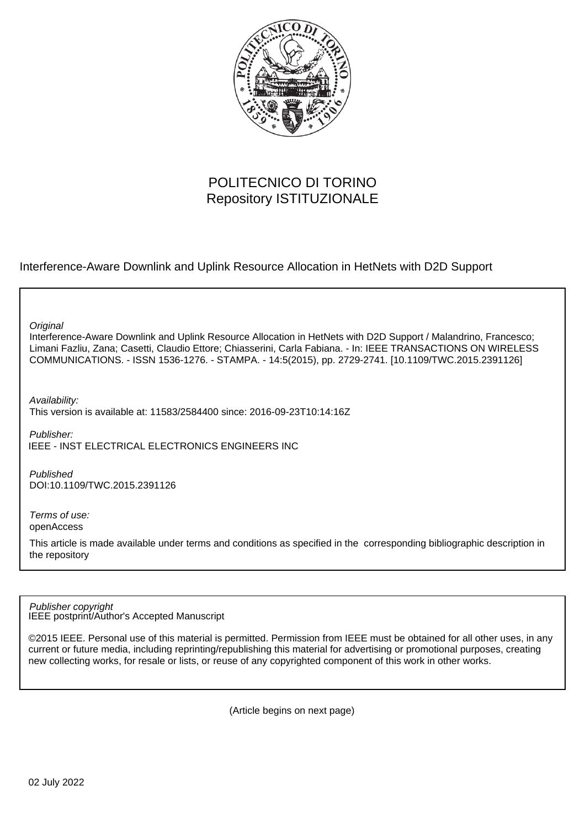

## POLITECNICO DI TORINO Repository ISTITUZIONALE

Interference-Aware Downlink and Uplink Resource Allocation in HetNets with D2D Support

**Original** 

Interference-Aware Downlink and Uplink Resource Allocation in HetNets with D2D Support / Malandrino, Francesco; Limani Fazliu, Zana; Casetti, Claudio Ettore; Chiasserini, Carla Fabiana. - In: IEEE TRANSACTIONS ON WIRELESS COMMUNICATIONS. - ISSN 1536-1276. - STAMPA. - 14:5(2015), pp. 2729-2741. [10.1109/TWC.2015.2391126]

Availability:

This version is available at: 11583/2584400 since: 2016-09-23T10:14:16Z

Publisher: IEEE - INST ELECTRICAL ELECTRONICS ENGINEERS INC

Published DOI:10.1109/TWC.2015.2391126

Terms of use: openAccess

This article is made available under terms and conditions as specified in the corresponding bibliographic description in the repository

IEEE postprint/Author's Accepted Manuscript Publisher copyright

©2015 IEEE. Personal use of this material is permitted. Permission from IEEE must be obtained for all other uses, in any current or future media, including reprinting/republishing this material for advertising or promotional purposes, creating new collecting works, for resale or lists, or reuse of any copyrighted component of this work in other works.

(Article begins on next page)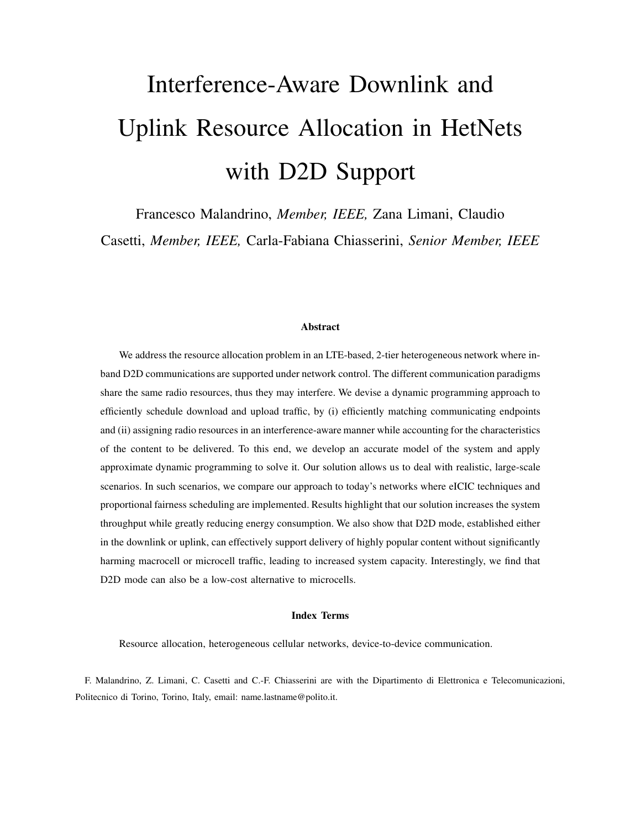# Interference-Aware Downlink and Uplink Resource Allocation in HetNets with D2D Support

Francesco Malandrino, *Member, IEEE,* Zana Limani, Claudio

Casetti, *Member, IEEE,* Carla-Fabiana Chiasserini, *Senior Member, IEEE*

## Abstract

We address the resource allocation problem in an LTE-based, 2-tier heterogeneous network where inband D2D communications are supported under network control. The different communication paradigms share the same radio resources, thus they may interfere. We devise a dynamic programming approach to efficiently schedule download and upload traffic, by (i) efficiently matching communicating endpoints and (ii) assigning radio resources in an interference-aware manner while accounting for the characteristics of the content to be delivered. To this end, we develop an accurate model of the system and apply approximate dynamic programming to solve it. Our solution allows us to deal with realistic, large-scale scenarios. In such scenarios, we compare our approach to today's networks where eICIC techniques and proportional fairness scheduling are implemented. Results highlight that our solution increases the system throughput while greatly reducing energy consumption. We also show that D2D mode, established either in the downlink or uplink, can effectively support delivery of highly popular content without significantly harming macrocell or microcell traffic, leading to increased system capacity. Interestingly, we find that D2D mode can also be a low-cost alternative to microcells.

#### Index Terms

Resource allocation, heterogeneous cellular networks, device-to-device communication.

F. Malandrino, Z. Limani, C. Casetti and C.-F. Chiasserini are with the Dipartimento di Elettronica e Telecomunicazioni, Politecnico di Torino, Torino, Italy, email: name.lastname@polito.it.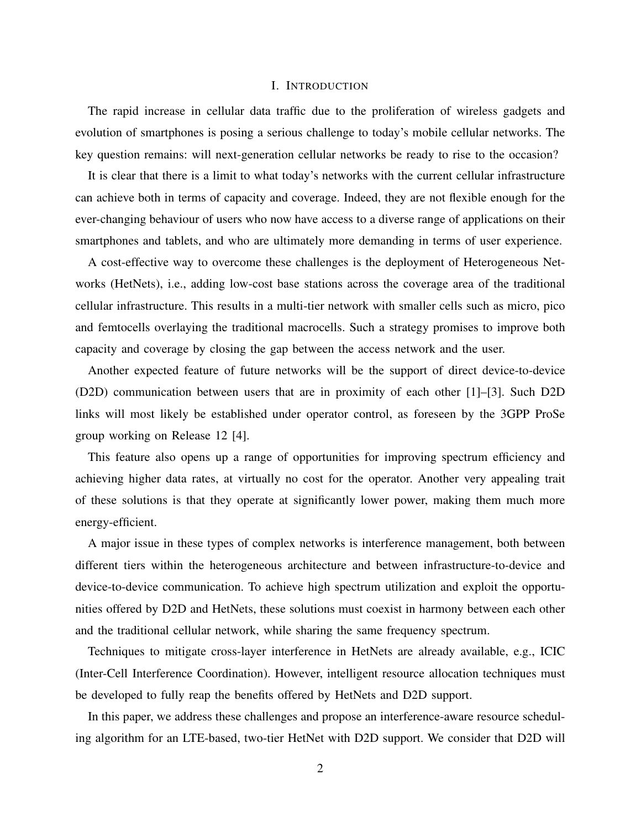## I. INTRODUCTION

The rapid increase in cellular data traffic due to the proliferation of wireless gadgets and evolution of smartphones is posing a serious challenge to today's mobile cellular networks. The key question remains: will next-generation cellular networks be ready to rise to the occasion?

It is clear that there is a limit to what today's networks with the current cellular infrastructure can achieve both in terms of capacity and coverage. Indeed, they are not flexible enough for the ever-changing behaviour of users who now have access to a diverse range of applications on their smartphones and tablets, and who are ultimately more demanding in terms of user experience.

A cost-effective way to overcome these challenges is the deployment of Heterogeneous Networks (HetNets), i.e., adding low-cost base stations across the coverage area of the traditional cellular infrastructure. This results in a multi-tier network with smaller cells such as micro, pico and femtocells overlaying the traditional macrocells. Such a strategy promises to improve both capacity and coverage by closing the gap between the access network and the user.

Another expected feature of future networks will be the support of direct device-to-device (D2D) communication between users that are in proximity of each other [1]–[3]. Such D2D links will most likely be established under operator control, as foreseen by the 3GPP ProSe group working on Release 12 [4].

This feature also opens up a range of opportunities for improving spectrum efficiency and achieving higher data rates, at virtually no cost for the operator. Another very appealing trait of these solutions is that they operate at significantly lower power, making them much more energy-efficient.

A major issue in these types of complex networks is interference management, both between different tiers within the heterogeneous architecture and between infrastructure-to-device and device-to-device communication. To achieve high spectrum utilization and exploit the opportunities offered by D2D and HetNets, these solutions must coexist in harmony between each other and the traditional cellular network, while sharing the same frequency spectrum.

Techniques to mitigate cross-layer interference in HetNets are already available, e.g., ICIC (Inter-Cell Interference Coordination). However, intelligent resource allocation techniques must be developed to fully reap the benefits offered by HetNets and D2D support.

In this paper, we address these challenges and propose an interference-aware resource scheduling algorithm for an LTE-based, two-tier HetNet with D2D support. We consider that D2D will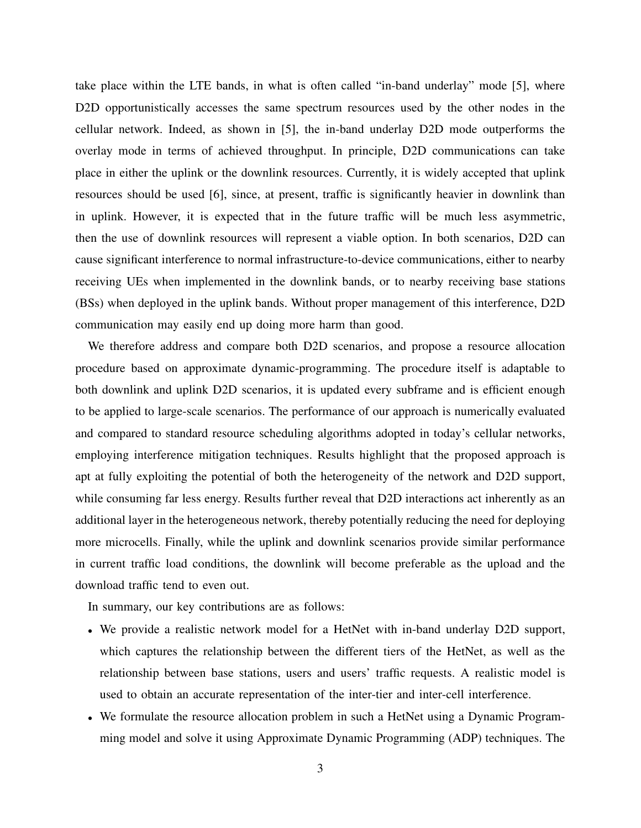take place within the LTE bands, in what is often called "in-band underlay" mode [5], where D<sub>2D</sub> opportunistically accesses the same spectrum resources used by the other nodes in the cellular network. Indeed, as shown in [5], the in-band underlay D2D mode outperforms the overlay mode in terms of achieved throughput. In principle, D2D communications can take place in either the uplink or the downlink resources. Currently, it is widely accepted that uplink resources should be used [6], since, at present, traffic is significantly heavier in downlink than in uplink. However, it is expected that in the future traffic will be much less asymmetric, then the use of downlink resources will represent a viable option. In both scenarios, D2D can cause significant interference to normal infrastructure-to-device communications, either to nearby receiving UEs when implemented in the downlink bands, or to nearby receiving base stations (BSs) when deployed in the uplink bands. Without proper management of this interference, D2D communication may easily end up doing more harm than good.

We therefore address and compare both D2D scenarios, and propose a resource allocation procedure based on approximate dynamic-programming. The procedure itself is adaptable to both downlink and uplink D2D scenarios, it is updated every subframe and is efficient enough to be applied to large-scale scenarios. The performance of our approach is numerically evaluated and compared to standard resource scheduling algorithms adopted in today's cellular networks, employing interference mitigation techniques. Results highlight that the proposed approach is apt at fully exploiting the potential of both the heterogeneity of the network and D2D support, while consuming far less energy. Results further reveal that D2D interactions act inherently as an additional layer in the heterogeneous network, thereby potentially reducing the need for deploying more microcells. Finally, while the uplink and downlink scenarios provide similar performance in current traffic load conditions, the downlink will become preferable as the upload and the download traffic tend to even out.

In summary, our key contributions are as follows:

- We provide a realistic network model for a HetNet with in-band underlay D2D support, which captures the relationship between the different tiers of the HetNet, as well as the relationship between base stations, users and users' traffic requests. A realistic model is used to obtain an accurate representation of the inter-tier and inter-cell interference.
- We formulate the resource allocation problem in such a HetNet using a Dynamic Programming model and solve it using Approximate Dynamic Programming (ADP) techniques. The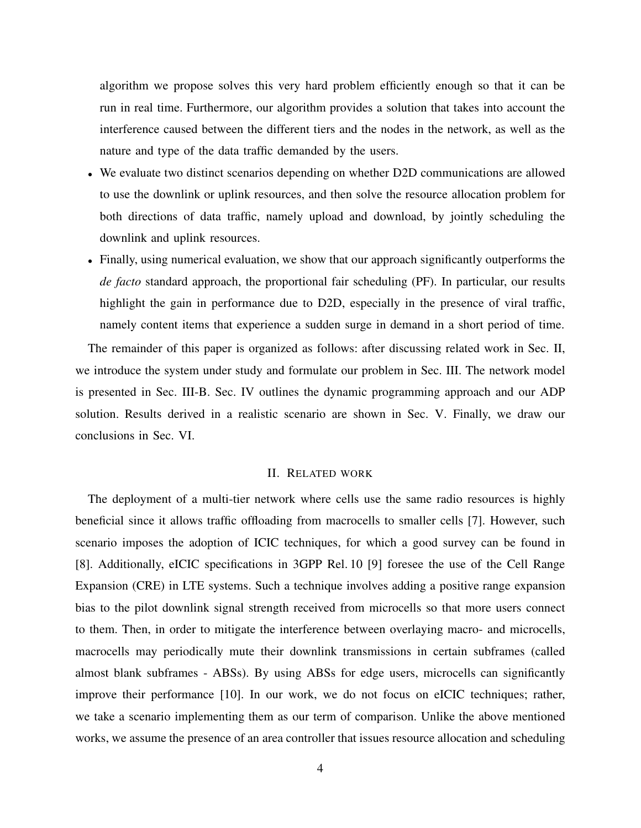algorithm we propose solves this very hard problem efficiently enough so that it can be run in real time. Furthermore, our algorithm provides a solution that takes into account the interference caused between the different tiers and the nodes in the network, as well as the nature and type of the data traffic demanded by the users.

- We evaluate two distinct scenarios depending on whether D2D communications are allowed to use the downlink or uplink resources, and then solve the resource allocation problem for both directions of data traffic, namely upload and download, by jointly scheduling the downlink and uplink resources.
- Finally, using numerical evaluation, we show that our approach significantly outperforms the *de facto* standard approach, the proportional fair scheduling (PF). In particular, our results highlight the gain in performance due to D2D, especially in the presence of viral traffic, namely content items that experience a sudden surge in demand in a short period of time.

The remainder of this paper is organized as follows: after discussing related work in Sec. II, we introduce the system under study and formulate our problem in Sec. III. The network model is presented in Sec. III-B. Sec. IV outlines the dynamic programming approach and our ADP solution. Results derived in a realistic scenario are shown in Sec. V. Finally, we draw our conclusions in Sec. VI.

#### II. RELATED WORK

The deployment of a multi-tier network where cells use the same radio resources is highly beneficial since it allows traffic offloading from macrocells to smaller cells [7]. However, such scenario imposes the adoption of ICIC techniques, for which a good survey can be found in [8]. Additionally, eICIC specifications in 3GPP Rel. 10 [9] foresee the use of the Cell Range Expansion (CRE) in LTE systems. Such a technique involves adding a positive range expansion bias to the pilot downlink signal strength received from microcells so that more users connect to them. Then, in order to mitigate the interference between overlaying macro- and microcells, macrocells may periodically mute their downlink transmissions in certain subframes (called almost blank subframes - ABSs). By using ABSs for edge users, microcells can significantly improve their performance [10]. In our work, we do not focus on eICIC techniques; rather, we take a scenario implementing them as our term of comparison. Unlike the above mentioned works, we assume the presence of an area controller that issues resource allocation and scheduling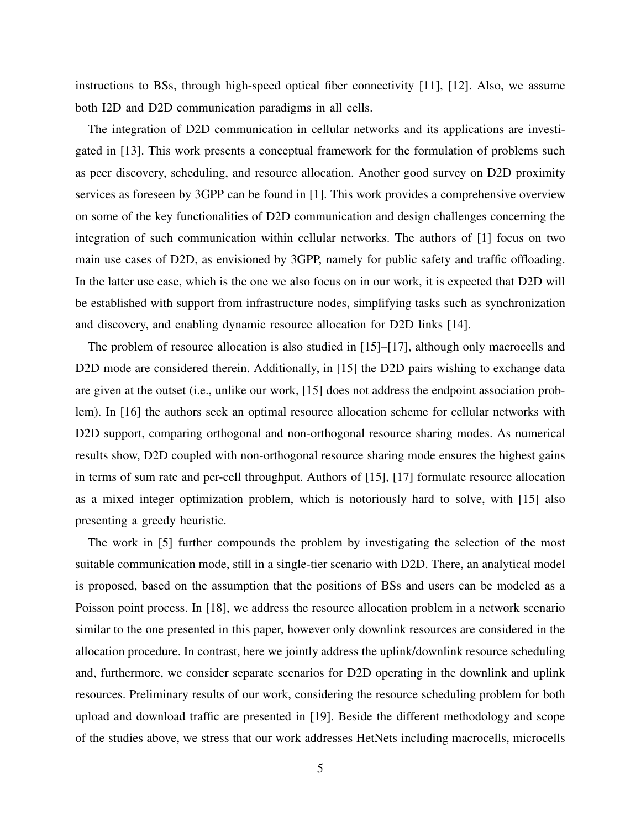instructions to BSs, through high-speed optical fiber connectivity [11], [12]. Also, we assume both I2D and D2D communication paradigms in all cells.

The integration of D2D communication in cellular networks and its applications are investigated in [13]. This work presents a conceptual framework for the formulation of problems such as peer discovery, scheduling, and resource allocation. Another good survey on D2D proximity services as foreseen by 3GPP can be found in [1]. This work provides a comprehensive overview on some of the key functionalities of D2D communication and design challenges concerning the integration of such communication within cellular networks. The authors of [1] focus on two main use cases of D2D, as envisioned by 3GPP, namely for public safety and traffic offloading. In the latter use case, which is the one we also focus on in our work, it is expected that D2D will be established with support from infrastructure nodes, simplifying tasks such as synchronization and discovery, and enabling dynamic resource allocation for D2D links [14].

The problem of resource allocation is also studied in [15]–[17], although only macrocells and D2D mode are considered therein. Additionally, in [15] the D2D pairs wishing to exchange data are given at the outset (i.e., unlike our work, [15] does not address the endpoint association problem). In [16] the authors seek an optimal resource allocation scheme for cellular networks with D<sub>2D</sub> support, comparing orthogonal and non-orthogonal resource sharing modes. As numerical results show, D2D coupled with non-orthogonal resource sharing mode ensures the highest gains in terms of sum rate and per-cell throughput. Authors of [15], [17] formulate resource allocation as a mixed integer optimization problem, which is notoriously hard to solve, with [15] also presenting a greedy heuristic.

The work in [5] further compounds the problem by investigating the selection of the most suitable communication mode, still in a single-tier scenario with D2D. There, an analytical model is proposed, based on the assumption that the positions of BSs and users can be modeled as a Poisson point process. In [18], we address the resource allocation problem in a network scenario similar to the one presented in this paper, however only downlink resources are considered in the allocation procedure. In contrast, here we jointly address the uplink/downlink resource scheduling and, furthermore, we consider separate scenarios for D2D operating in the downlink and uplink resources. Preliminary results of our work, considering the resource scheduling problem for both upload and download traffic are presented in [19]. Beside the different methodology and scope of the studies above, we stress that our work addresses HetNets including macrocells, microcells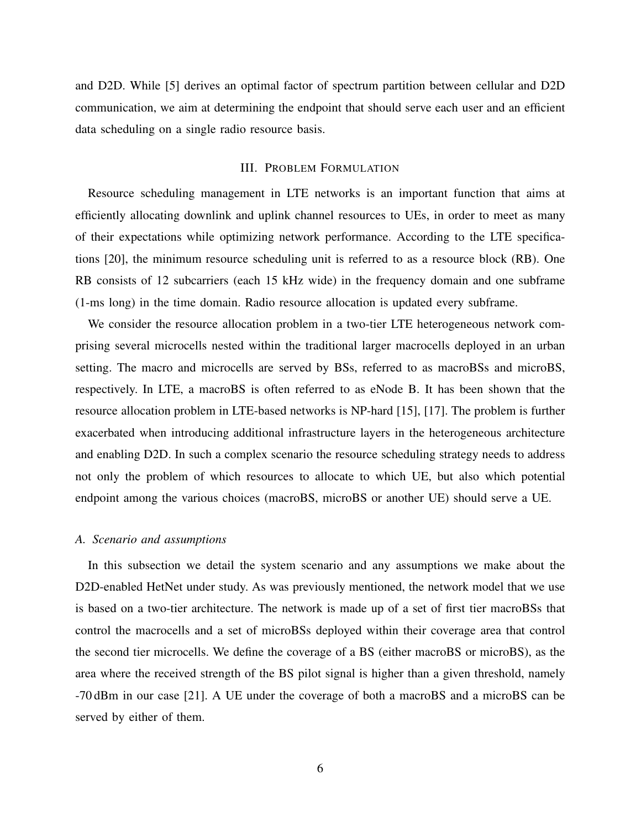and D2D. While [5] derives an optimal factor of spectrum partition between cellular and D2D communication, we aim at determining the endpoint that should serve each user and an efficient data scheduling on a single radio resource basis.

## III. PROBLEM FORMULATION

Resource scheduling management in LTE networks is an important function that aims at efficiently allocating downlink and uplink channel resources to UEs, in order to meet as many of their expectations while optimizing network performance. According to the LTE specifications [20], the minimum resource scheduling unit is referred to as a resource block (RB). One RB consists of 12 subcarriers (each 15 kHz wide) in the frequency domain and one subframe (1-ms long) in the time domain. Radio resource allocation is updated every subframe.

We consider the resource allocation problem in a two-tier LTE heterogeneous network comprising several microcells nested within the traditional larger macrocells deployed in an urban setting. The macro and microcells are served by BSs, referred to as macroBSs and microBS, respectively. In LTE, a macroBS is often referred to as eNode B. It has been shown that the resource allocation problem in LTE-based networks is NP-hard [15], [17]. The problem is further exacerbated when introducing additional infrastructure layers in the heterogeneous architecture and enabling D2D. In such a complex scenario the resource scheduling strategy needs to address not only the problem of which resources to allocate to which UE, but also which potential endpoint among the various choices (macroBS, microBS or another UE) should serve a UE.

#### *A. Scenario and assumptions*

In this subsection we detail the system scenario and any assumptions we make about the D2D-enabled HetNet under study. As was previously mentioned, the network model that we use is based on a two-tier architecture. The network is made up of a set of first tier macroBSs that control the macrocells and a set of microBSs deployed within their coverage area that control the second tier microcells. We define the coverage of a BS (either macroBS or microBS), as the area where the received strength of the BS pilot signal is higher than a given threshold, namely -70 dBm in our case [21]. A UE under the coverage of both a macroBS and a microBS can be served by either of them.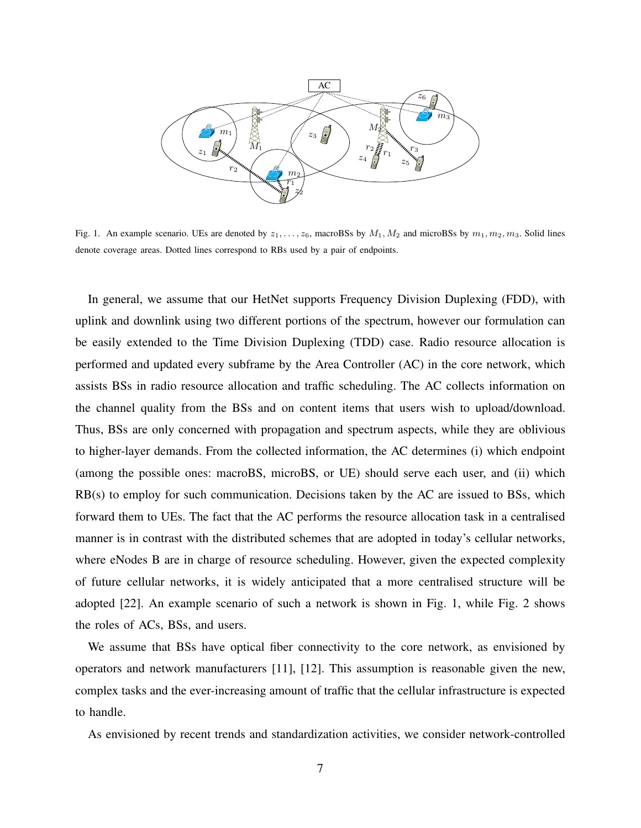

Fig. 1. An example scenario. UEs are denoted by  $z_1, \ldots, z_6$ , macroBSs by  $M_1, M_2$  and microBSs by  $m_1, m_2, m_3$ . Solid lines denote coverage areas. Dotted lines correspond to RBs used by a pair of endpoints.

In general, we assume that our HetNet supports Frequency Division Duplexing (FDD), with uplink and downlink using two different portions of the spectrum, however our formulation can be easily extended to the Time Division Duplexing (TDD) case. Radio resource allocation is performed and updated every subframe by the Area Controller (AC) in the core network, which assists BSs in radio resource allocation and traffic scheduling. The AC collects information on the channel quality from the BSs and on content items that users wish to upload/download. Thus, BSs are only concerned with propagation and spectrum aspects, while they are oblivious to higher-layer demands. From the collected information, the AC determines (i) which endpoint (among the possible ones: macroBS, microBS, or UE) should serve each user, and (ii) which RB(s) to employ for such communication. Decisions taken by the AC are issued to BSs, which forward them to UEs. The fact that the AC performs the resource allocation task in a centralised manner is in contrast with the distributed schemes that are adopted in today's cellular networks, where eNodes B are in charge of resource scheduling. However, given the expected complexity of future cellular networks, it is widely anticipated that a more centralised structure will be adopted [22]. An example scenario of such a network is shown in Fig. 1, while Fig. 2 shows the roles of ACs, BSs, and users.

We assume that BSs have optical fiber connectivity to the core network, as envisioned by operators and network manufacturers [11], [12]. This assumption is reasonable given the new, complex tasks and the ever-increasing amount of traffic that the cellular infrastructure is expected to handle.

As envisioned by recent trends and standardization activities, we consider network-controlled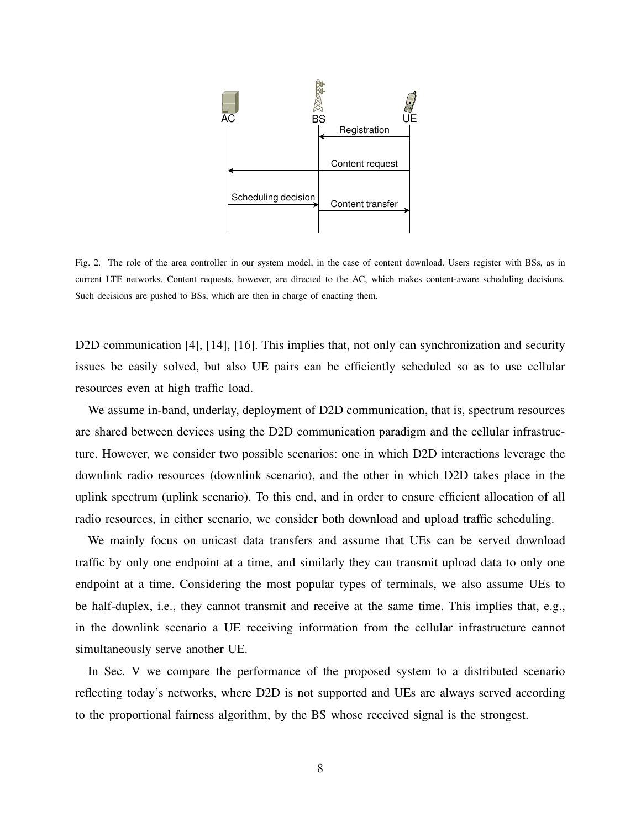

Fig. 2. The role of the area controller in our system model, in the case of content download. Users register with BSs, as in current LTE networks. Content requests, however, are directed to the AC, which makes content-aware scheduling decisions. Such decisions are pushed to BSs, which are then in charge of enacting them.

D2D communication [4], [14], [16]. This implies that, not only can synchronization and security issues be easily solved, but also UE pairs can be efficiently scheduled so as to use cellular resources even at high traffic load.

We assume in-band, underlay, deployment of D2D communication, that is, spectrum resources are shared between devices using the D2D communication paradigm and the cellular infrastructure. However, we consider two possible scenarios: one in which D2D interactions leverage the downlink radio resources (downlink scenario), and the other in which D2D takes place in the uplink spectrum (uplink scenario). To this end, and in order to ensure efficient allocation of all radio resources, in either scenario, we consider both download and upload traffic scheduling.

We mainly focus on unicast data transfers and assume that UEs can be served download traffic by only one endpoint at a time, and similarly they can transmit upload data to only one endpoint at a time. Considering the most popular types of terminals, we also assume UEs to be half-duplex, i.e., they cannot transmit and receive at the same time. This implies that, e.g., in the downlink scenario a UE receiving information from the cellular infrastructure cannot simultaneously serve another UE.

In Sec. V we compare the performance of the proposed system to a distributed scenario reflecting today's networks, where D2D is not supported and UEs are always served according to the proportional fairness algorithm, by the BS whose received signal is the strongest.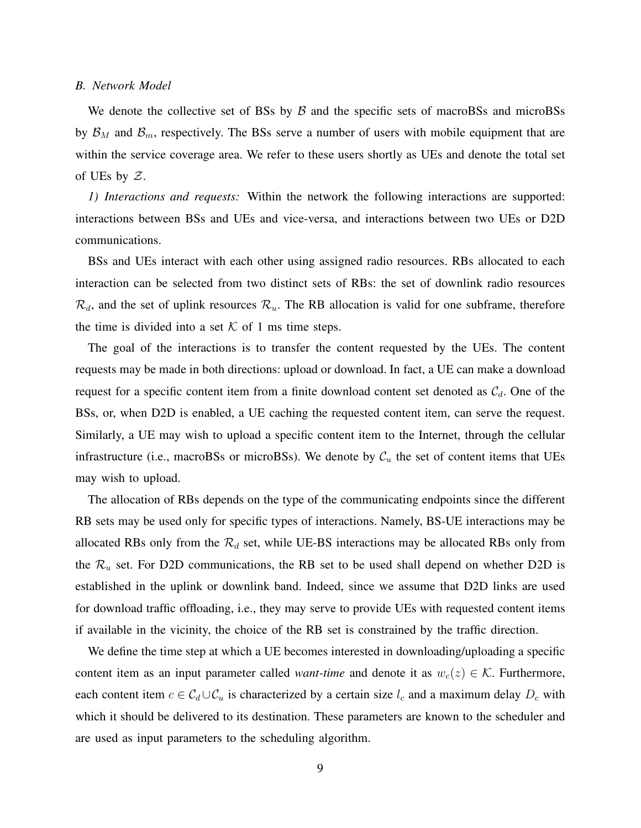## *B. Network Model*

We denote the collective set of BSs by  $\beta$  and the specific sets of macroBSs and microBSs by  $\mathcal{B}_M$  and  $\mathcal{B}_m$ , respectively. The BSs serve a number of users with mobile equipment that are within the service coverage area. We refer to these users shortly as UEs and denote the total set of UEs by  $\mathcal{Z}$ .

*1) Interactions and requests:* Within the network the following interactions are supported: interactions between BSs and UEs and vice-versa, and interactions between two UEs or D2D communications.

BSs and UEs interact with each other using assigned radio resources. RBs allocated to each interaction can be selected from two distinct sets of RBs: the set of downlink radio resources  $\mathcal{R}_d$ , and the set of uplink resources  $\mathcal{R}_u$ . The RB allocation is valid for one subframe, therefore the time is divided into a set  $K$  of 1 ms time steps.

The goal of the interactions is to transfer the content requested by the UEs. The content requests may be made in both directions: upload or download. In fact, a UE can make a download request for a specific content item from a finite download content set denoted as  $C_d$ . One of the BSs, or, when D2D is enabled, a UE caching the requested content item, can serve the request. Similarly, a UE may wish to upload a specific content item to the Internet, through the cellular infrastructure (i.e., macroBSs or microBSs). We denote by  $C_u$  the set of content items that UEs may wish to upload.

The allocation of RBs depends on the type of the communicating endpoints since the different RB sets may be used only for specific types of interactions. Namely, BS-UE interactions may be allocated RBs only from the  $\mathcal{R}_d$  set, while UE-BS interactions may be allocated RBs only from the  $\mathcal{R}_u$  set. For D2D communications, the RB set to be used shall depend on whether D2D is established in the uplink or downlink band. Indeed, since we assume that D2D links are used for download traffic offloading, i.e., they may serve to provide UEs with requested content items if available in the vicinity, the choice of the RB set is constrained by the traffic direction.

We define the time step at which a UE becomes interested in downloading/uploading a specific content item as an input parameter called *want-time* and denote it as  $w_c(z) \in \mathcal{K}$ . Furthermore, each content item  $c \in \mathcal{C}_d \cup \mathcal{C}_u$  is characterized by a certain size  $l_c$  and a maximum delay  $D_c$  with which it should be delivered to its destination. These parameters are known to the scheduler and are used as input parameters to the scheduling algorithm.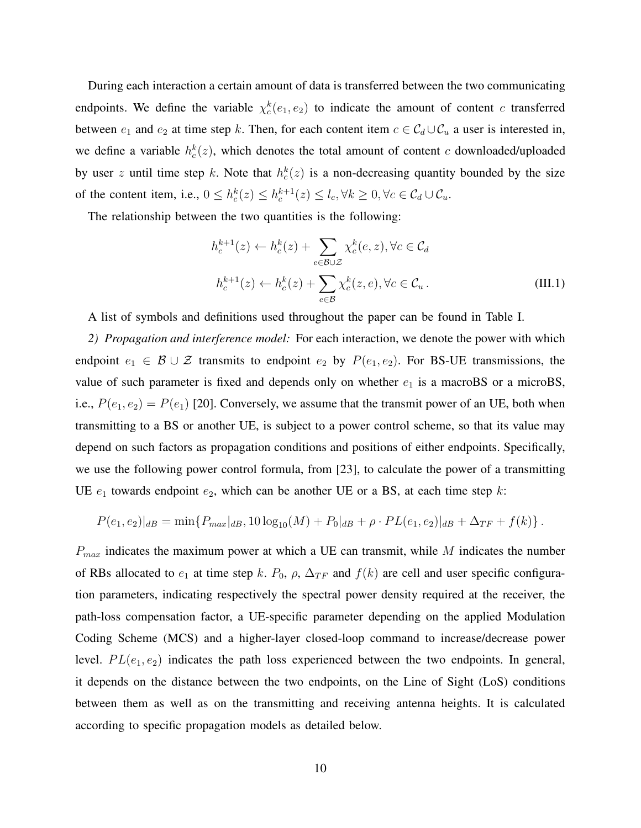During each interaction a certain amount of data is transferred between the two communicating endpoints. We define the variable  $\chi_c^k(e_1, e_2)$  to indicate the amount of content c transferred between  $e_1$  and  $e_2$  at time step k. Then, for each content item  $c \in C_d \cup C_u$  a user is interested in, we define a variable  $h_c^k(z)$ , which denotes the total amount of content c downloaded/uploaded by user z until time step k. Note that  $h_c^k(z)$  is a non-decreasing quantity bounded by the size of the content item, i.e.,  $0 \leq h_c^k(z) \leq h_c^{k+1}(z) \leq l_c, \forall k \geq 0, \forall c \in C_d \cup C_u$ .

The relationship between the two quantities is the following:

$$
h_c^{k+1}(z) \leftarrow h_c^k(z) + \sum_{e \in \mathcal{B} \cup \mathcal{Z}} \chi_c^k(e, z), \forall c \in \mathcal{C}_d
$$
  

$$
h_c^{k+1}(z) \leftarrow h_c^k(z) + \sum_{e \in \mathcal{B}} \chi_c^k(z, e), \forall c \in \mathcal{C}_u.
$$
 (III.1)

A list of symbols and definitions used throughout the paper can be found in Table I.

*2) Propagation and interference model:* For each interaction, we denote the power with which endpoint  $e_1 \in \mathcal{B} \cup \mathcal{Z}$  transmits to endpoint  $e_2$  by  $P(e_1, e_2)$ . For BS-UE transmissions, the value of such parameter is fixed and depends only on whether  $e_1$  is a macroBS or a microBS, i.e.,  $P(e_1, e_2) = P(e_1)$  [20]. Conversely, we assume that the transmit power of an UE, both when transmitting to a BS or another UE, is subject to a power control scheme, so that its value may depend on such factors as propagation conditions and positions of either endpoints. Specifically, we use the following power control formula, from [23], to calculate the power of a transmitting UE  $e_1$  towards endpoint  $e_2$ , which can be another UE or a BS, at each time step k:

$$
P(e_1, e_2)|_{dB} = \min\{P_{max}|_{dB}, 10\log_{10}(M) + P_0|_{dB} + \rho \cdot PL(e_1, e_2)|_{dB} + \Delta_{TF} + f(k)\}.
$$

 $P_{max}$  indicates the maximum power at which a UE can transmit, while M indicates the number of RBs allocated to  $e_1$  at time step k.  $P_0$ ,  $\rho$ ,  $\Delta_{TF}$  and  $f(k)$  are cell and user specific configuration parameters, indicating respectively the spectral power density required at the receiver, the path-loss compensation factor, a UE-specific parameter depending on the applied Modulation Coding Scheme (MCS) and a higher-layer closed-loop command to increase/decrease power level.  $PL(e_1, e_2)$  indicates the path loss experienced between the two endpoints. In general, it depends on the distance between the two endpoints, on the Line of Sight (LoS) conditions between them as well as on the transmitting and receiving antenna heights. It is calculated according to specific propagation models as detailed below.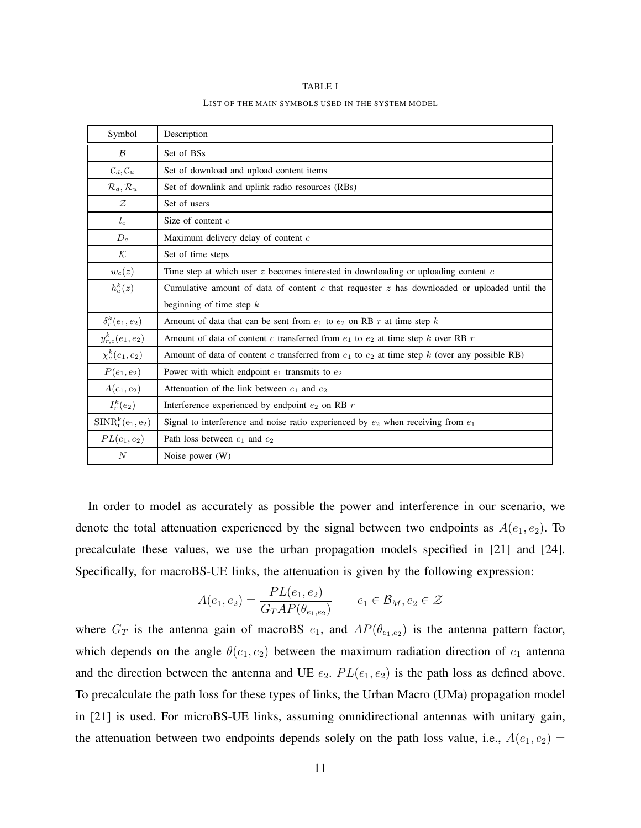#### TABLE I

#### LIST OF THE MAIN SYMBOLS USED IN THE SYSTEM MODEL

| Symbol                         | Description                                                                                       |
|--------------------------------|---------------------------------------------------------------------------------------------------|
| $\mathcal{B}$                  | Set of BSs                                                                                        |
| $\mathcal{C}_d, \mathcal{C}_u$ | Set of download and upload content items                                                          |
| $\mathcal{R}_d, \mathcal{R}_u$ | Set of downlink and uplink radio resources (RBs)                                                  |
| $\mathcal Z$                   | Set of users                                                                                      |
| $l_c$                          | Size of content $c$                                                                               |
| $D_c$                          | Maximum delivery delay of content c                                                               |
| $\mathcal{K}$                  | Set of time steps                                                                                 |
| $w_c(z)$                       | Time step at which user $z$ becomes interested in downloading or uploading content $c$            |
| $h_c^k(z)$                     | Cumulative amount of data of content $c$ that requester $z$ has downloaded or uploaded until the  |
|                                | beginning of time step $k$                                                                        |
| $\delta_r^k(e_1,e_2)$          | Amount of data that can be sent from $e_1$ to $e_2$ on RB r at time step k                        |
| $y_{r,c}^k(e_1, e_2)$          | Amount of data of content c transferred from $e_1$ to $e_2$ at time step k over RB r              |
| $\chi_c^k(e_1,e_2)$            | Amount of data of content c transferred from $e_1$ to $e_2$ at time step k (over any possible RB) |
| $P(e_1, e_2)$                  | Power with which endpoint $e_1$ transmits to $e_2$                                                |
| $A(e_1, e_2)$                  | Attenuation of the link between $e_1$ and $e_2$                                                   |
| $I_r^k(e_2)$                   | Interference experienced by endpoint $e_2$ on RB $r$                                              |
| $SINR_r^k(e_1, e_2)$           | Signal to interference and noise ratio experienced by $e_2$ when receiving from $e_1$             |
| $PL(e_1, e_2)$                 | Path loss between $e_1$ and $e_2$                                                                 |
| $\boldsymbol{N}$               | Noise power (W)                                                                                   |

In order to model as accurately as possible the power and interference in our scenario, we denote the total attenuation experienced by the signal between two endpoints as  $A(e_1, e_2)$ . To precalculate these values, we use the urban propagation models specified in [21] and [24]. Specifically, for macroBS-UE links, the attenuation is given by the following expression:

$$
A(e_1, e_2) = \frac{PL(e_1, e_2)}{G_T AP(\theta_{e_1, e_2})} \qquad e_1 \in \mathcal{B}_M, e_2 \in \mathcal{Z}
$$

where  $G_T$  is the antenna gain of macroBS  $e_1$ , and  $AP(\theta_{e_1,e_2})$  is the antenna pattern factor, which depends on the angle  $\theta(e_1, e_2)$  between the maximum radiation direction of  $e_1$  antenna and the direction between the antenna and UE  $e_2$ .  $PL(e_1, e_2)$  is the path loss as defined above. To precalculate the path loss for these types of links, the Urban Macro (UMa) propagation model in [21] is used. For microBS-UE links, assuming omnidirectional antennas with unitary gain, the attenuation between two endpoints depends solely on the path loss value, i.e.,  $A(e_1, e_2)$  =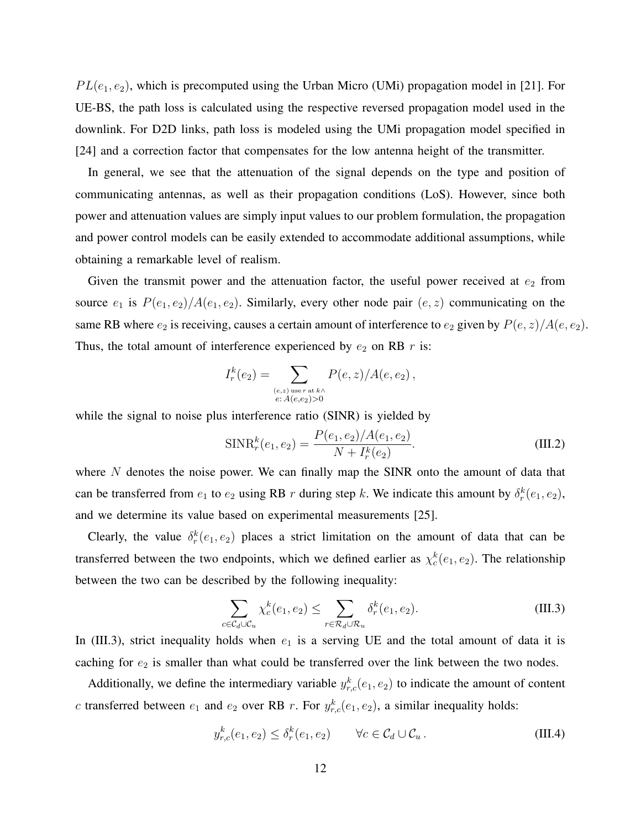$PL(e_1, e_2)$ , which is precomputed using the Urban Micro (UMi) propagation model in [21]. For UE-BS, the path loss is calculated using the respective reversed propagation model used in the downlink. For D2D links, path loss is modeled using the UMi propagation model specified in [24] and a correction factor that compensates for the low antenna height of the transmitter.

In general, we see that the attenuation of the signal depends on the type and position of communicating antennas, as well as their propagation conditions (LoS). However, since both power and attenuation values are simply input values to our problem formulation, the propagation and power control models can be easily extended to accommodate additional assumptions, while obtaining a remarkable level of realism.

Given the transmit power and the attenuation factor, the useful power received at  $e_2$  from source  $e_1$  is  $P(e_1, e_2)/A(e_1, e_2)$ . Similarly, every other node pair  $(e, z)$  communicating on the same RB where  $e_2$  is receiving, causes a certain amount of interference to  $e_2$  given by  $P(e, z)/A(e, e_2)$ . Thus, the total amount of interference experienced by  $e_2$  on RB  $r$  is:

$$
I_r^k(e_2) = \sum_{\substack{(e,z) \text{ user at } k \wedge \\ e: A(e,e_2) > 0}} P(e,z) / A(e,e_2) \,,
$$

while the signal to noise plus interference ratio (SINR) is yielded by

$$
\text{SINR}_{r}^{k}(e_1, e_2) = \frac{P(e_1, e_2)/A(e_1, e_2)}{N + I_r^{k}(e_2)}.
$$
\n(III.2)

where  $N$  denotes the noise power. We can finally map the SINR onto the amount of data that can be transferred from  $e_1$  to  $e_2$  using RB r during step k. We indicate this amount by  $\delta_r^k(e_1, e_2)$ , and we determine its value based on experimental measurements [25].

Clearly, the value  $\delta_r^k(e_1, e_2)$  places a strict limitation on the amount of data that can be transferred between the two endpoints, which we defined earlier as  $\chi_c^k(e_1, e_2)$ . The relationship between the two can be described by the following inequality:

$$
\sum_{c \in \mathcal{C}_d \cup \mathcal{C}_u} \chi_c^k(e_1, e_2) \le \sum_{r \in \mathcal{R}_d \cup \mathcal{R}_u} \delta_r^k(e_1, e_2).
$$
 (III.3)

In (III.3), strict inequality holds when  $e_1$  is a serving UE and the total amount of data it is caching for  $e_2$  is smaller than what could be transferred over the link between the two nodes.

Additionally, we define the intermediary variable  $y_{r,c}^k(e_1, e_2)$  to indicate the amount of content c transferred between  $e_1$  and  $e_2$  over RB r. For  $y_{r,c}^k(e_1, e_2)$ , a similar inequality holds:

$$
y_{r,c}^k(e_1, e_2) \le \delta_r^k(e_1, e_2) \qquad \forall c \in \mathcal{C}_d \cup \mathcal{C}_u.
$$
 (III.4)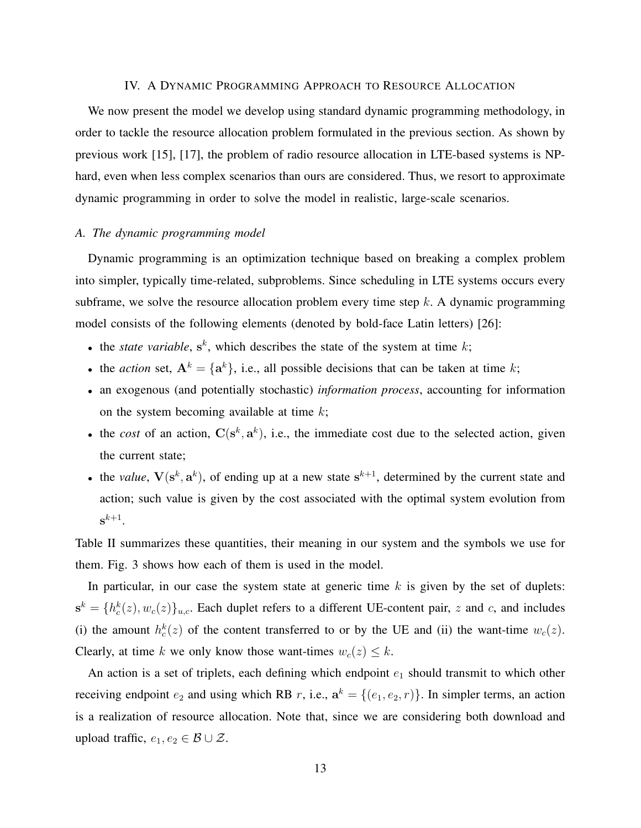## IV. A DYNAMIC PROGRAMMING APPROACH TO RESOURCE ALLOCATION

We now present the model we develop using standard dynamic programming methodology, in order to tackle the resource allocation problem formulated in the previous section. As shown by previous work [15], [17], the problem of radio resource allocation in LTE-based systems is NPhard, even when less complex scenarios than ours are considered. Thus, we resort to approximate dynamic programming in order to solve the model in realistic, large-scale scenarios.

## *A. The dynamic programming model*

Dynamic programming is an optimization technique based on breaking a complex problem into simpler, typically time-related, subproblems. Since scheduling in LTE systems occurs every subframe, we solve the resource allocation problem every time step  $k$ . A dynamic programming model consists of the following elements (denoted by bold-face Latin letters) [26]:

- the *state variable*,  $s^k$ , which describes the state of the system at time  $k$ ;
- the *action* set,  $A^k = \{a^k\}$ , i.e., all possible decisions that can be taken at time k;
- an exogenous (and potentially stochastic) *information process*, accounting for information on the system becoming available at time  $k$ ;
- the *cost* of an action,  $C(s^k, a^k)$ , i.e., the immediate cost due to the selected action, given the current state;
- the *value*,  $V(s^k, a^k)$ , of ending up at a new state  $s^{k+1}$ , determined by the current state and action; such value is given by the cost associated with the optimal system evolution from  $\mathbf{s}^{k+1}$ .

Table II summarizes these quantities, their meaning in our system and the symbols we use for them. Fig. 3 shows how each of them is used in the model.

In particular, in our case the system state at generic time  $k$  is given by the set of duplets:  $s^k = \{h_c^k(z), w_c(z)\}_{u,c}$ . Each duplet refers to a different UE-content pair, z and c, and includes (i) the amount  $h_c^k(z)$  of the content transferred to or by the UE and (ii) the want-time  $w_c(z)$ . Clearly, at time k we only know those want-times  $w_c(z) \leq k$ .

An action is a set of triplets, each defining which endpoint  $e_1$  should transmit to which other receiving endpoint  $e_2$  and using which RB r, i.e.,  $\mathbf{a}^k = \{(e_1, e_2, r)\}\$ . In simpler terms, an action is a realization of resource allocation. Note that, since we are considering both download and upload traffic,  $e_1, e_2 \in \mathcal{B} \cup \mathcal{Z}$ .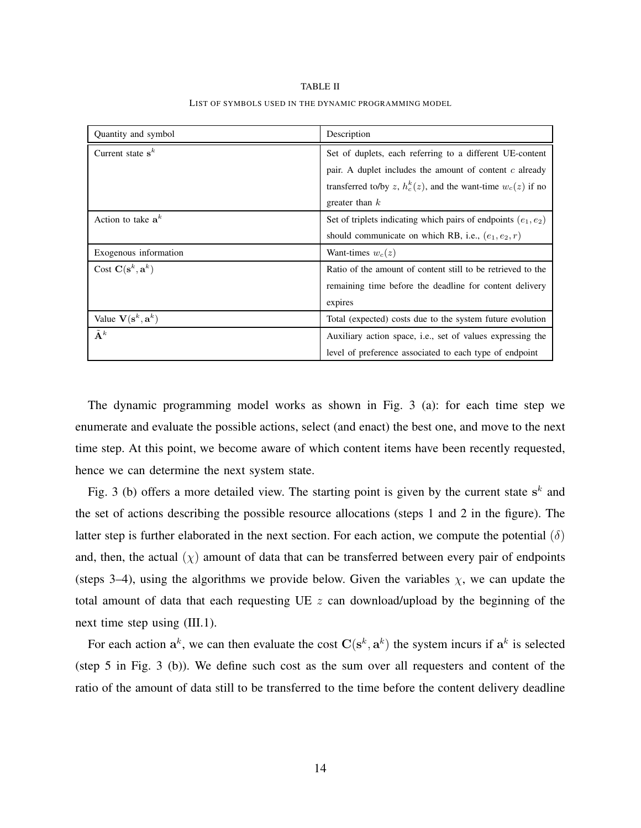Quantity and symbol Description Current state  $s^k$ Set of duplets, each referring to a different UE-content pair. A duplet includes the amount of content  $c$  already transferred to/by z,  $h_c^k(z)$ , and the want-time  $w_c(z)$  if no greater than  $k$ Action to take  $\mathbf{a}^k$ Set of triplets indicating which pairs of endpoints  $(e_1, e_2)$ should communicate on which RB, i.e.,  $(e_1, e_2, r)$ Exogenous information Want-times  $w_c(z)$  $\mathrm{Cost} \ \mathbf{C}(\mathbf{s}^k, \mathbf{a}^k)$ ) Ratio of the amount of content still to be retrieved to the remaining time before the deadline for content delivery expires Value  $\mathbf{V}(\mathbf{s}^k, \mathbf{a}^k)$ ) Total (expected) costs due to the system future evolution  $\tilde{\mathbf{A}}^k$  Auxiliary action space, i.e., set of values expressing the level of preference associated to each type of endpoint

TABLE II LIST OF SYMBOLS USED IN THE DYNAMIC PROGRAMMING MODEL

The dynamic programming model works as shown in Fig. 3 (a): for each time step we enumerate and evaluate the possible actions, select (and enact) the best one, and move to the next time step. At this point, we become aware of which content items have been recently requested, hence we can determine the next system state.

Fig. 3 (b) offers a more detailed view. The starting point is given by the current state  $s^k$  and the set of actions describing the possible resource allocations (steps 1 and 2 in the figure). The latter step is further elaborated in the next section. For each action, we compute the potential  $(\delta)$ and, then, the actual  $(\chi)$  amount of data that can be transferred between every pair of endpoints (steps 3–4), using the algorithms we provide below. Given the variables  $\chi$ , we can update the total amount of data that each requesting UE  $z$  can download/upload by the beginning of the next time step using (III.1).

For each action  $a^k$ , we can then evaluate the cost  $C(s^k, a^k)$  the system incurs if  $a^k$  is selected (step 5 in Fig. 3 (b)). We define such cost as the sum over all requesters and content of the ratio of the amount of data still to be transferred to the time before the content delivery deadline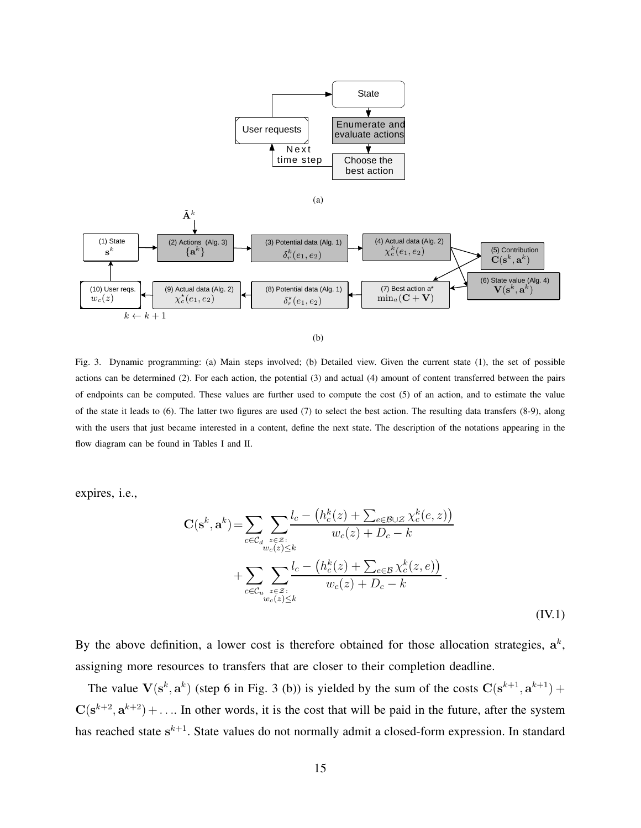

Fig. 3. Dynamic programming: (a) Main steps involved; (b) Detailed view. Given the current state (1), the set of possible actions can be determined (2). For each action, the potential (3) and actual (4) amount of content transferred between the pairs of endpoints can be computed. These values are further used to compute the cost (5) of an action, and to estimate the value of the state it leads to (6). The latter two figures are used (7) to select the best action. The resulting data transfers (8-9), along with the users that just became interested in a content, define the next state. The description of the notations appearing in the flow diagram can be found in Tables I and II.

expires, i.e.,

$$
\mathbf{C}(\mathbf{s}^k, \mathbf{a}^k) = \sum_{c \in \mathcal{C}_d} \sum_{\substack{z \in \mathcal{Z}: \\ w_c(z) \le k}} \frac{l_c - (h_c^k(z) + \sum_{e \in \mathcal{B} \cup \mathcal{Z}} \chi_c^k(e, z))}{w_c(z) + D_c - k} + \sum_{\substack{c \in \mathcal{C}_u \\ w_c(z) \le k}} \sum_{\substack{z \in \mathcal{Z}: \\ w_c(z) + D_c - k}} \frac{l_c - (h_c^k(z) + \sum_{e \in \mathcal{B}} \chi_c^k(z, e))}{w_c(z) + D_c - k}.
$$
\n(IV.1)

By the above definition, a lower cost is therefore obtained for those allocation strategies,  $a^k$ , assigning more resources to transfers that are closer to their completion deadline.

The value  $V(s^k, a^k)$  (step 6 in Fig. 3 (b)) is yielded by the sum of the costs  $C(s^{k+1}, a^{k+1})$  +  $C(s^{k+2}, a^{k+2}) + \ldots$  In other words, it is the cost that will be paid in the future, after the system has reached state  $s^{k+1}$ . State values do not normally admit a closed-form expression. In standard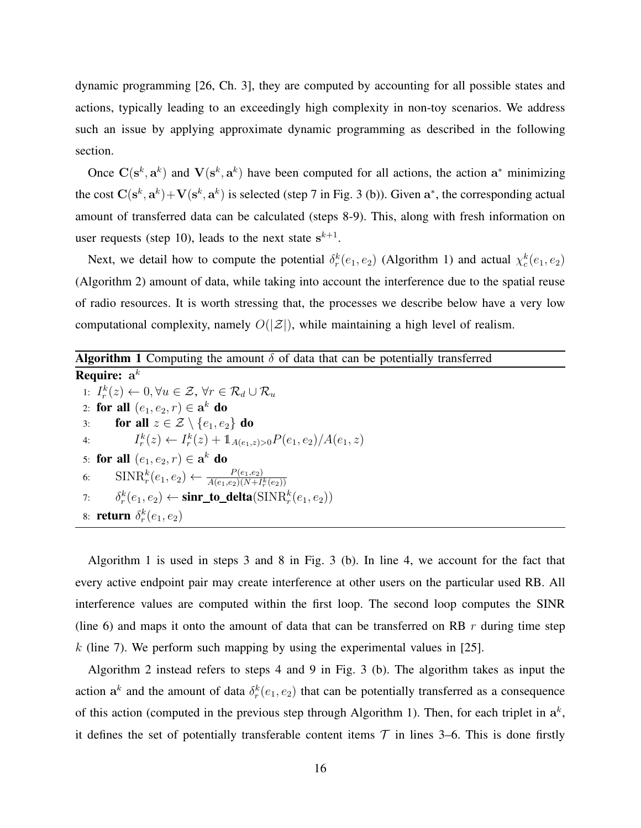dynamic programming [26, Ch. 3], they are computed by accounting for all possible states and actions, typically leading to an exceedingly high complexity in non-toy scenarios. We address such an issue by applying approximate dynamic programming as described in the following section.

Once  $C(s^k, a^k)$  and  $V(s^k, a^k)$  have been computed for all actions, the action  $a^*$  minimizing the cost  $C(s^k, a^k) + V(s^k, a^k)$  is selected (step 7 in Fig. 3 (b)). Given  $a^*$ , the corresponding actual amount of transferred data can be calculated (steps 8-9). This, along with fresh information on user requests (step 10), leads to the next state  $s^{k+1}$ .

Next, we detail how to compute the potential  $\delta_r^k(e_1, e_2)$  (Algorithm 1) and actual  $\chi_c^k(e_1, e_2)$ (Algorithm 2) amount of data, while taking into account the interference due to the spatial reuse of radio resources. It is worth stressing that, the processes we describe below have a very low computational complexity, namely  $O(|\mathcal{Z}|)$ , while maintaining a high level of realism.

Algorithm 1 is used in steps 3 and 8 in Fig. 3 (b). In line 4, we account for the fact that every active endpoint pair may create interference at other users on the particular used RB. All interference values are computed within the first loop. The second loop computes the SINR (line 6) and maps it onto the amount of data that can be transferred on RB  $r$  during time step k (line 7). We perform such mapping by using the experimental values in [25].

Algorithm 2 instead refers to steps 4 and 9 in Fig. 3 (b). The algorithm takes as input the action  $a^k$  and the amount of data  $\delta_r^k(e_1, e_2)$  that can be potentially transferred as a consequence of this action (computed in the previous step through Algorithm 1). Then, for each triplet in  $a^k$ , it defines the set of potentially transferable content items  $\mathcal T$  in lines 3–6. This is done firstly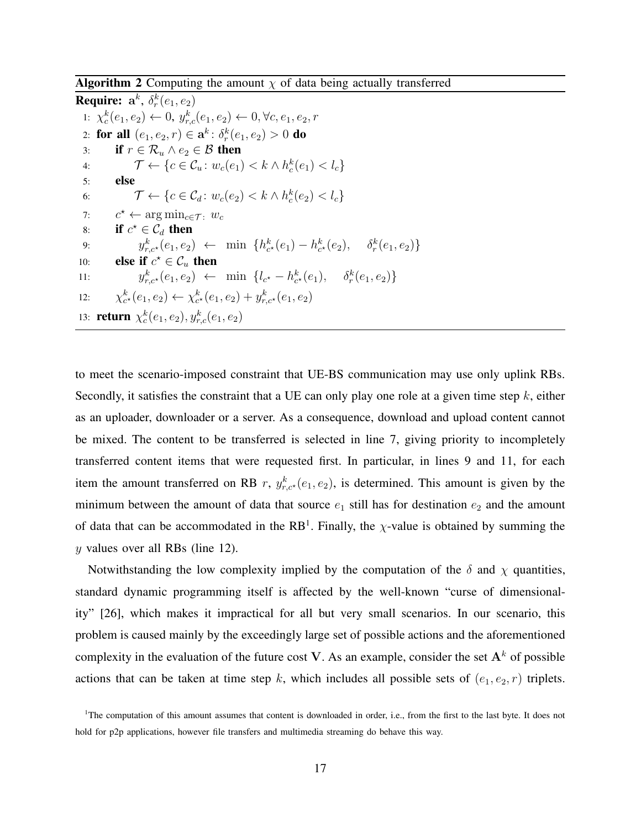**Algorithm 2** Computing the amount  $\chi$  of data being actually transferred

**Require:**  $\mathbf{a}^k$ ,  $\delta_r^k(e_1, e_2)$ 1:  $\chi_c^k(e_1, e_2) \leftarrow 0, y_{r,c}^k(e_1, e_2) \leftarrow 0, \forall c, e_1, e_2, r$ 2: for all  $(e_1, e_2, r) \in \mathbf{a}^k$ :  $\delta_r^k(e_1, e_2) > 0$  do 3: if  $r \in \mathcal{R}_u \wedge e_2 \in \mathcal{B}$  then 4:  $\mathcal{T} \leftarrow \{c \in \mathcal{C}_u : w_c(e_1) < k \wedge h_c^k(e_1) < l_c\}$ 5: else 6:  $\mathcal{T} \leftarrow \{c \in \mathcal{C}_d : w_c(e_2) < k \wedge h_c^k(e_2) < l_c\}$ 7:  $c^* \leftarrow \arg \min_{c \in \mathcal{T}:} w_c$ 8: if  $c^* \in \mathcal{C}_d$  then 9:  $y_{r,c^\star}^k(e_1, e_2) \leftarrow \min \{h_{c^\star}^k(e_1) - h_{c^\star}^k(e_2), \quad \delta_r^k(e_1, e_2)\}\$ 10: **else if**  $c^* \in C_u$  then  $11:$  $k_{r,c^{\star}}(e_1, e_2) \leftarrow \min \{l_{c^{\star}} - h_{c^{\star}}^k(e_1), \quad \delta_r^k(e_1, e_2)\}$ 12:  $\chi^k_{c^*}(e_1, e_2) \leftarrow \chi^k_{c^*}(e_1, e_2) + y^k_{r,c^*}(e_1, e_2)$ 13: **return**  $\chi^k_c(e_1, e_2), y^k_{r,c}(e_1, e_2)$ 

to meet the scenario-imposed constraint that UE-BS communication may use only uplink RBs. Secondly, it satisfies the constraint that a UE can only play one role at a given time step  $k$ , either as an uploader, downloader or a server. As a consequence, download and upload content cannot be mixed. The content to be transferred is selected in line 7, giving priority to incompletely transferred content items that were requested first. In particular, in lines 9 and 11, for each item the amount transferred on RB r,  $y_{r,c}^{k}(e_1, e_2)$ , is determined. This amount is given by the minimum between the amount of data that source  $e_1$  still has for destination  $e_2$  and the amount of data that can be accommodated in the RB<sup>1</sup>. Finally, the  $\chi$ -value is obtained by summing the y values over all RBs (line 12).

Notwithstanding the low complexity implied by the computation of the  $\delta$  and  $\chi$  quantities, standard dynamic programming itself is affected by the well-known "curse of dimensionality" [26], which makes it impractical for all but very small scenarios. In our scenario, this problem is caused mainly by the exceedingly large set of possible actions and the aforementioned complexity in the evaluation of the future cost V. As an example, consider the set  $A<sup>k</sup>$  of possible actions that can be taken at time step k, which includes all possible sets of  $(e_1, e_2, r)$  triplets.

<sup>&</sup>lt;sup>1</sup>The computation of this amount assumes that content is downloaded in order, i.e., from the first to the last byte. It does not hold for p2p applications, however file transfers and multimedia streaming do behave this way.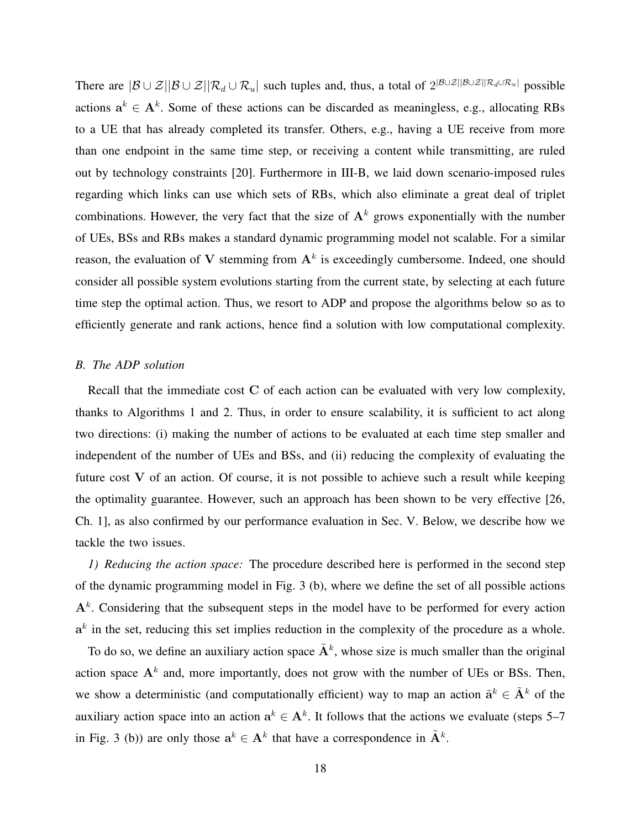There are  $|\mathcal{B}\cup\mathcal{Z}||\mathcal{B}\cup\mathcal{Z}||\mathcal{R}_d\cup\mathcal{R}_u|$  such tuples and, thus, a total of  $2^{|\mathcal{B}\cup\mathcal{Z}||\mathcal{B}\cup\mathcal{Z}||\mathcal{R}_d\cup\mathcal{R}_u|}$  possible actions  $a^k \in A^k$ . Some of these actions can be discarded as meaningless, e.g., allocating RBs to a UE that has already completed its transfer. Others, e.g., having a UE receive from more than one endpoint in the same time step, or receiving a content while transmitting, are ruled out by technology constraints [20]. Furthermore in III-B, we laid down scenario-imposed rules regarding which links can use which sets of RBs, which also eliminate a great deal of triplet combinations. However, the very fact that the size of  $A<sup>k</sup>$  grows exponentially with the number of UEs, BSs and RBs makes a standard dynamic programming model not scalable. For a similar reason, the evaluation of V stemming from  $A<sup>k</sup>$  is exceedingly cumbersome. Indeed, one should consider all possible system evolutions starting from the current state, by selecting at each future time step the optimal action. Thus, we resort to ADP and propose the algorithms below so as to efficiently generate and rank actions, hence find a solution with low computational complexity.

## *B. The ADP solution*

Recall that the immediate cost C of each action can be evaluated with very low complexity, thanks to Algorithms 1 and 2. Thus, in order to ensure scalability, it is sufficient to act along two directions: (i) making the number of actions to be evaluated at each time step smaller and independent of the number of UEs and BSs, and (ii) reducing the complexity of evaluating the future cost  $V$  of an action. Of course, it is not possible to achieve such a result while keeping the optimality guarantee. However, such an approach has been shown to be very effective [26, Ch. 1], as also confirmed by our performance evaluation in Sec. V. Below, we describe how we tackle the two issues.

*1) Reducing the action space:* The procedure described here is performed in the second step of the dynamic programming model in Fig. 3 (b), where we define the set of all possible actions  $A<sup>k</sup>$ . Considering that the subsequent steps in the model have to be performed for every action  $a<sup>k</sup>$  in the set, reducing this set implies reduction in the complexity of the procedure as a whole.

To do so, we define an auxiliary action space  $\tilde{A}^k$ , whose size is much smaller than the original action space  $A<sup>k</sup>$  and, more importantly, does not grow with the number of UEs or BSs. Then, we show a deterministic (and computationally efficient) way to map an action  $\tilde{a}^k \in \tilde{A}^k$  of the auxiliary action space into an action  $a^k \in A^k$ . It follows that the actions we evaluate (steps 5–7 in Fig. 3 (b)) are only those  $a^k \in A^k$  that have a correspondence in  $\tilde{A}^k$ .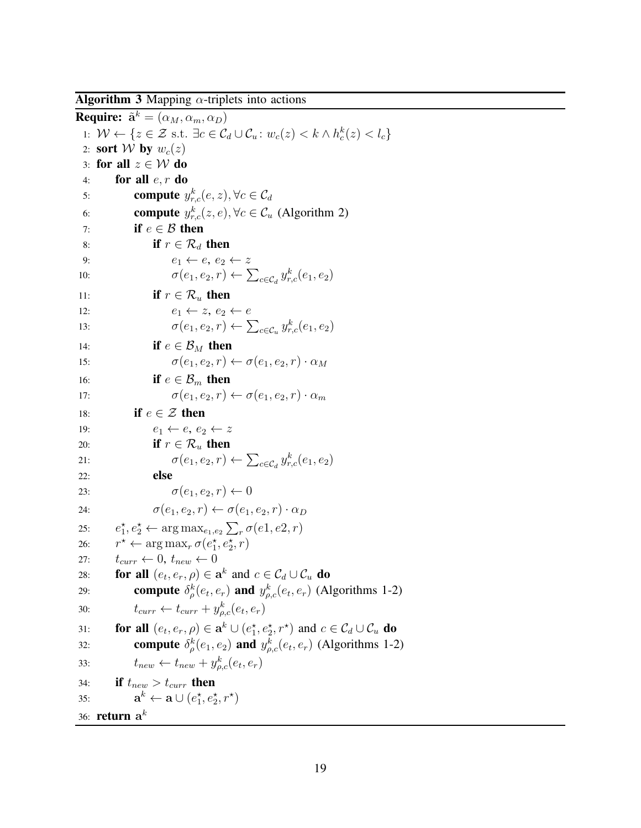**Algorithm 3** Mapping  $\alpha$ -triplets into actions

**Require:**  $\tilde{\mathbf{a}}^k = (\alpha_M, \alpha_m, \alpha_D)$ 1:  $W \leftarrow \{ z \in \mathcal{Z} \text{ s.t. } \exists c \in \mathcal{C}_d \cup \mathcal{C}_u : w_c(z) < k \wedge h_c^k(z) < l_c \}$ 2: sort W by  $w_c(z)$ 3: for all  $z \in \mathcal{W}$  do 4: for all  $e, r$  do 5: **compute**  $y_{r,c}^k(e, z), \forall c \in \mathcal{C}_d$ 6: **compute**  $y_{r,c}^k(z, e), \forall c \in C_u$  (Algorithm 2) 7: if  $e \in \mathcal{B}$  then 8: if  $r \in \mathcal{R}_d$  then 9:  $e_1 \leftarrow e, e_2 \leftarrow z$ 10:  $\sigma(e_1, e_2, r) \leftarrow \sum_{c \in \mathcal{C}_d} y_{r,c}^k(e_1, e_2)$ 11: **if**  $r \in \mathcal{R}_u$  then 12:  $e_1 \leftarrow z, e_2 \leftarrow e$ 13:  $\sigma(e_1, e_2, r) \leftarrow \sum_{c \in C_u} y_{r,c}^k(e_1, e_2)$ 14: **if**  $e \in \mathcal{B}_M$  then 15:  $\sigma(e_1, e_2, r) \leftarrow \sigma(e_1, e_2, r) \cdot \alpha_M$ 16: **if**  $e \in \mathcal{B}_m$  then 17:  $\sigma(e_1, e_2, r) \leftarrow \sigma(e_1, e_2, r) \cdot \alpha_m$ 18: **if**  $e \in \mathcal{Z}$  then 19:  $e_1 \leftarrow e, e_2 \leftarrow z$ 20: **if**  $r \in \mathcal{R}_u$  then 21:  $\sigma(e_1, e_2, r) \leftarrow \sum_{c \in C_d} y_{r,c}^k(e_1, e_2)$ 22: else 23:  $\sigma(e_1, e_2, r) \leftarrow 0$ 24:  $\sigma(e_1, e_2, r) \leftarrow \sigma(e_1, e_2, r) \cdot \alpha_D$  $25:$  $x_1^{\star}, e_2^{\star} \leftarrow \arg \max_{e_1, e_2} \sum_r \sigma(e_1, e_2, r)$ 26:  $\star \leftarrow \arg \max_{r} \sigma(e_1^{\star}, e_2^{\star}, r)$ 27:  $t_{curr} \leftarrow 0, t_{new} \leftarrow 0$ 28: **for all**  $(e_t, e_r, \rho) \in \mathbf{a}^k$  and  $c \in \mathcal{C}_d \cup \mathcal{C}_u$  do 29: **compute**  $\delta_{\rho}^{k}(e_t, e_r)$  and  $y_{\rho,c}^{k}(e_t, e_r)$  (Algorithms 1-2) 30:  $t_{curr} \leftarrow t_{curr} + y_{\rho,c}^k(e_t, e_r)$ 31: **for all**  $(e_t, e_r, \rho) \in \mathbf{a}^k \cup (e_1^*, e_2^*, r^*)$  and  $c \in C_d \cup C_u$  **do** 32: **compute**  $\delta_{\rho}^{k}(e_1, e_2)$  and  $y_{\rho,c}^{k}(e_t, e_r)$  (Algorithms 1-2) 33:  $t_{new} \leftarrow t_{new} + y_{\rho,c}^k(e_t, e_r)$ 34: if  $t_{new} > t_{curr}$  then  $35:$  $k \leftarrow \mathbf{a} \cup (e_1^{\star}, e_2^{\star}, r^{\star})$ 36: **return**  $\mathbf{a}^k$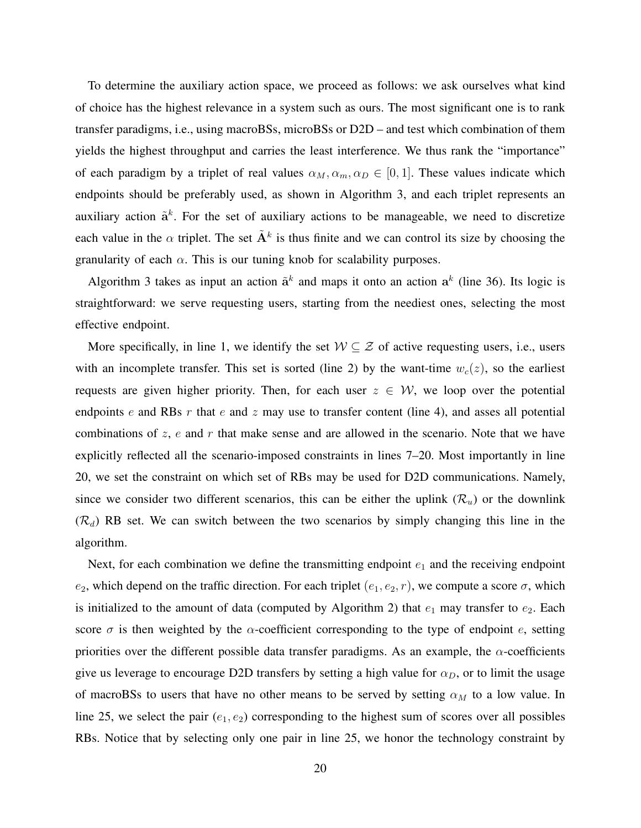To determine the auxiliary action space, we proceed as follows: we ask ourselves what kind of choice has the highest relevance in a system such as ours. The most significant one is to rank transfer paradigms, i.e., using macroBSs, microBSs or D2D – and test which combination of them yields the highest throughput and carries the least interference. We thus rank the "importance" of each paradigm by a triplet of real values  $\alpha_M, \alpha_m, \alpha_D \in [0, 1]$ . These values indicate which endpoints should be preferably used, as shown in Algorithm 3, and each triplet represents an auxiliary action  $\tilde{a}^k$ . For the set of auxiliary actions to be manageable, we need to discretize each value in the  $\alpha$  triplet. The set  $\tilde{A}^k$  is thus finite and we can control its size by choosing the granularity of each  $\alpha$ . This is our tuning knob for scalability purposes.

Algorithm 3 takes as input an action  $\tilde{a}^k$  and maps it onto an action  $a^k$  (line 36). Its logic is straightforward: we serve requesting users, starting from the neediest ones, selecting the most effective endpoint.

More specifically, in line 1, we identify the set  $W \subseteq \mathcal{Z}$  of active requesting users, i.e., users with an incomplete transfer. This set is sorted (line 2) by the want-time  $w_c(z)$ , so the earliest requests are given higher priority. Then, for each user  $z \in W$ , we loop over the potential endpoints  $e$  and RBs  $r$  that  $e$  and  $z$  may use to transfer content (line 4), and asses all potential combinations of  $z$ ,  $e$  and  $r$  that make sense and are allowed in the scenario. Note that we have explicitly reflected all the scenario-imposed constraints in lines 7–20. Most importantly in line 20, we set the constraint on which set of RBs may be used for D2D communications. Namely, since we consider two different scenarios, this can be either the uplink  $(\mathcal{R}_u)$  or the downlink  $(\mathcal{R}_d)$  RB set. We can switch between the two scenarios by simply changing this line in the algorithm.

Next, for each combination we define the transmitting endpoint  $e_1$  and the receiving endpoint  $e_2$ , which depend on the traffic direction. For each triplet  $(e_1, e_2, r)$ , we compute a score  $\sigma$ , which is initialized to the amount of data (computed by Algorithm 2) that  $e_1$  may transfer to  $e_2$ . Each score  $\sigma$  is then weighted by the  $\alpha$ -coefficient corresponding to the type of endpoint e, setting priorities over the different possible data transfer paradigms. As an example, the  $\alpha$ -coefficients give us leverage to encourage D2D transfers by setting a high value for  $\alpha_D$ , or to limit the usage of macroBSs to users that have no other means to be served by setting  $\alpha_M$  to a low value. In line 25, we select the pair  $(e_1, e_2)$  corresponding to the highest sum of scores over all possibles RBs. Notice that by selecting only one pair in line 25, we honor the technology constraint by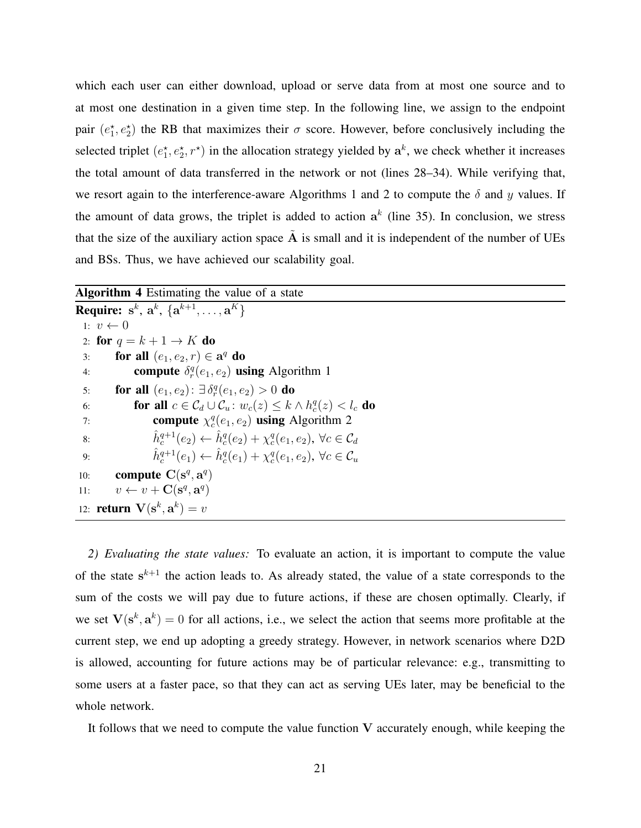which each user can either download, upload or serve data from at most one source and to at most one destination in a given time step. In the following line, we assign to the endpoint pair  $(e_1^*, e_2^*)$  the RB that maximizes their  $\sigma$  score. However, before conclusively including the selected triplet  $(e_1^*, e_2^*, r^*)$  in the allocation strategy yielded by  $a^k$ , we check whether it increases the total amount of data transferred in the network or not (lines 28–34). While verifying that, we resort again to the interference-aware Algorithms 1 and 2 to compute the  $\delta$  and y values. If the amount of data grows, the triplet is added to action  $a^k$  (line 35). In conclusion, we stress that the size of the auxiliary action space  $\overline{A}$  is small and it is independent of the number of UEs and BSs. Thus, we have achieved our scalability goal.

## Algorithm 4 Estimating the value of a state

**Require:**  $\mathbf{s}^k$ ,  $\mathbf{a}^k$ ,  $\{\mathbf{a}^{k+1}, \ldots, \mathbf{a}^K\}$ 1:  $v \leftarrow 0$ 2: for  $q = k + 1 \rightarrow K$  do 3: for all  $(e_1, e_2, r) \in \mathbf{a}^q$  do 4: **compute**  $\delta_r^q(e_1, e_2)$  **using** Algorithm 1 5: **for all**  $(e_1, e_2)$ :  $\exists \delta^q_r(e_1, e_2) > 0$  **do** 6: **for all**  $c \in C_d \cup C_u$ :  $w_c(z) \leq k \wedge h_c^q(z) < l_c$  **do** 7: **compute**  $\chi_c^q(e_1, e_2)$  **using** Algorithm 2 8:  $\hat{h}_c^{q+1}(e_2) \leftarrow \hat{h}_c^q(e_2) + \chi_c^q(e_1, e_2), \ \forall c \in \mathcal{C}_d$ 9:  $\hat{h}_c^{q+1}(e_1) \leftarrow \hat{h}_c^q(e_1) + \chi_c^q(e_1, e_2), \ \forall c \in \mathcal{C}_u$ 10: **compute**  $C(s^q, a^q)$ 11:  $v \leftarrow v + \mathbf{C}(\mathbf{s}^q, \mathbf{a}^q)$ 12: **return**  $V(s^k, a^k) = v$ 

*2) Evaluating the state values:* To evaluate an action, it is important to compute the value of the state  $s^{k+1}$  the action leads to. As already stated, the value of a state corresponds to the sum of the costs we will pay due to future actions, if these are chosen optimally. Clearly, if we set  $V(s^k, a^k) = 0$  for all actions, i.e., we select the action that seems more profitable at the current step, we end up adopting a greedy strategy. However, in network scenarios where D2D is allowed, accounting for future actions may be of particular relevance: e.g., transmitting to some users at a faster pace, so that they can act as serving UEs later, may be beneficial to the whole network.

It follows that we need to compute the value function  $V$  accurately enough, while keeping the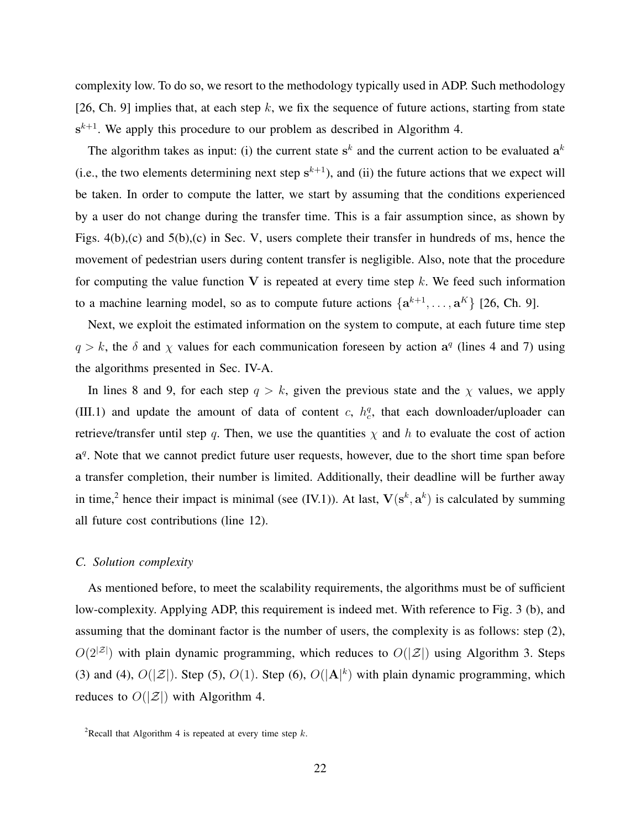complexity low. To do so, we resort to the methodology typically used in ADP. Such methodology [26, Ch. 9] implies that, at each step  $k$ , we fix the sequence of future actions, starting from state  $s^{k+1}$ . We apply this procedure to our problem as described in Algorithm 4.

The algorithm takes as input: (i) the current state  $s^k$  and the current action to be evaluated  $a^k$ (i.e., the two elements determining next step  $s^{k+1}$ ), and (ii) the future actions that we expect will be taken. In order to compute the latter, we start by assuming that the conditions experienced by a user do not change during the transfer time. This is a fair assumption since, as shown by Figs. 4(b),(c) and 5(b),(c) in Sec. V, users complete their transfer in hundreds of ms, hence the movement of pedestrian users during content transfer is negligible. Also, note that the procedure for computing the value function V is repeated at every time step  $k$ . We feed such information to a machine learning model, so as to compute future actions  $\{a^{k+1}, \ldots, a^{K}\}\$  [26, Ch. 9].

Next, we exploit the estimated information on the system to compute, at each future time step  $q > k$ , the  $\delta$  and  $\chi$  values for each communication foreseen by action  $a^q$  (lines 4 and 7) using the algorithms presented in Sec. IV-A.

In lines 8 and 9, for each step  $q > k$ , given the previous state and the  $\chi$  values, we apply (III.1) and update the amount of data of content c,  $h_c^q$ , that each downloader/uploader can retrieve/transfer until step q. Then, we use the quantities  $\chi$  and h to evaluate the cost of action a<sup>q</sup>. Note that we cannot predict future user requests, however, due to the short time span before a transfer completion, their number is limited. Additionally, their deadline will be further away in time,<sup>2</sup> hence their impact is minimal (see (IV.1)). At last,  $V(s^k, a^k)$  is calculated by summing all future cost contributions (line 12).

## *C. Solution complexity*

As mentioned before, to meet the scalability requirements, the algorithms must be of sufficient low-complexity. Applying ADP, this requirement is indeed met. With reference to Fig. 3 (b), and assuming that the dominant factor is the number of users, the complexity is as follows: step (2),  $O(2^{|z|})$  with plain dynamic programming, which reduces to  $O(|z|)$  using Algorithm 3. Steps (3) and (4),  $O(|\mathcal{Z}|)$ . Step (5),  $O(1)$ . Step (6),  $O(|A|^k)$  with plain dynamic programming, which reduces to  $O(|\mathcal{Z}|)$  with Algorithm 4.

<sup>&</sup>lt;sup>2</sup>Recall that Algorithm 4 is repeated at every time step  $k$ .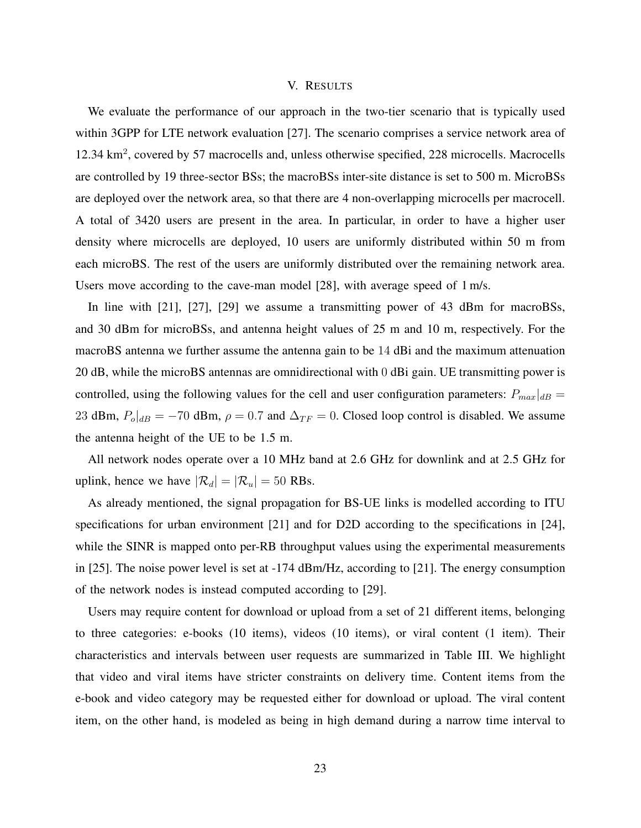## V. RESULTS

We evaluate the performance of our approach in the two-tier scenario that is typically used within 3GPP for LTE network evaluation [27]. The scenario comprises a service network area of 12.34 km<sup>2</sup>, covered by 57 macrocells and, unless otherwise specified, 228 microcells. Macrocells are controlled by 19 three-sector BSs; the macroBSs inter-site distance is set to 500 m. MicroBSs are deployed over the network area, so that there are 4 non-overlapping microcells per macrocell. A total of 3420 users are present in the area. In particular, in order to have a higher user density where microcells are deployed, 10 users are uniformly distributed within 50 m from each microBS. The rest of the users are uniformly distributed over the remaining network area. Users move according to the cave-man model [28], with average speed of 1 m/s.

In line with [21], [27], [29] we assume a transmitting power of 43 dBm for macroBSs, and 30 dBm for microBSs, and antenna height values of 25 m and 10 m, respectively. For the macroBS antenna we further assume the antenna gain to be 14 dBi and the maximum attenuation 20 dB, while the microBS antennas are omnidirectional with 0 dBi gain. UE transmitting power is controlled, using the following values for the cell and user configuration parameters:  $P_{max}|_{dB} =$ 23 dBm,  $P_o|_{dB} = -70$  dBm,  $\rho = 0.7$  and  $\Delta_{TF} = 0$ . Closed loop control is disabled. We assume the antenna height of the UE to be 1.5 m.

All network nodes operate over a 10 MHz band at 2.6 GHz for downlink and at 2.5 GHz for uplink, hence we have  $|\mathcal{R}_d| = |\mathcal{R}_u| = 50$  RBs.

As already mentioned, the signal propagation for BS-UE links is modelled according to ITU specifications for urban environment [21] and for D2D according to the specifications in [24], while the SINR is mapped onto per-RB throughput values using the experimental measurements in [25]. The noise power level is set at -174 dBm/Hz, according to [21]. The energy consumption of the network nodes is instead computed according to [29].

Users may require content for download or upload from a set of 21 different items, belonging to three categories: e-books (10 items), videos (10 items), or viral content (1 item). Their characteristics and intervals between user requests are summarized in Table III. We highlight that video and viral items have stricter constraints on delivery time. Content items from the e-book and video category may be requested either for download or upload. The viral content item, on the other hand, is modeled as being in high demand during a narrow time interval to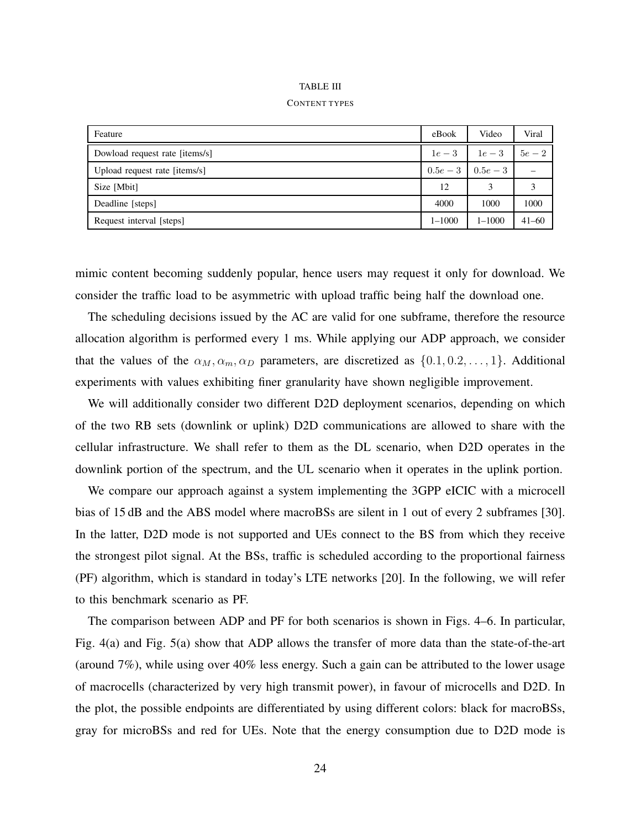## TABLE III CONTENT TYPES

| Feature                        |  | Video              | Viral     |
|--------------------------------|--|--------------------|-----------|
| Dowload request rate [items/s] |  | $1e-3$             | $5e-2$    |
| Upload request rate [items/s]  |  | $0.5e-3$ 0.5e $-3$ |           |
| Size [Mbit]                    |  | 3                  | 3         |
| Deadline [steps]               |  | 1000               | 1000      |
| Request interval [steps]       |  | $1 - 1000$         | $41 - 60$ |

mimic content becoming suddenly popular, hence users may request it only for download. We consider the traffic load to be asymmetric with upload traffic being half the download one.

The scheduling decisions issued by the AC are valid for one subframe, therefore the resource allocation algorithm is performed every 1 ms. While applying our ADP approach, we consider that the values of the  $\alpha_M, \alpha_m, \alpha_D$  parameters, are discretized as  $\{0.1, 0.2, \ldots, 1\}$ . Additional experiments with values exhibiting finer granularity have shown negligible improvement.

We will additionally consider two different D2D deployment scenarios, depending on which of the two RB sets (downlink or uplink) D2D communications are allowed to share with the cellular infrastructure. We shall refer to them as the DL scenario, when D2D operates in the downlink portion of the spectrum, and the UL scenario when it operates in the uplink portion.

We compare our approach against a system implementing the 3GPP eICIC with a microcell bias of 15 dB and the ABS model where macroBSs are silent in 1 out of every 2 subframes [30]. In the latter, D2D mode is not supported and UEs connect to the BS from which they receive the strongest pilot signal. At the BSs, traffic is scheduled according to the proportional fairness (PF) algorithm, which is standard in today's LTE networks [20]. In the following, we will refer to this benchmark scenario as PF.

The comparison between ADP and PF for both scenarios is shown in Figs. 4–6. In particular, Fig. 4(a) and Fig. 5(a) show that ADP allows the transfer of more data than the state-of-the-art (around 7%), while using over 40% less energy. Such a gain can be attributed to the lower usage of macrocells (characterized by very high transmit power), in favour of microcells and D2D. In the plot, the possible endpoints are differentiated by using different colors: black for macroBSs, gray for microBSs and red for UEs. Note that the energy consumption due to D2D mode is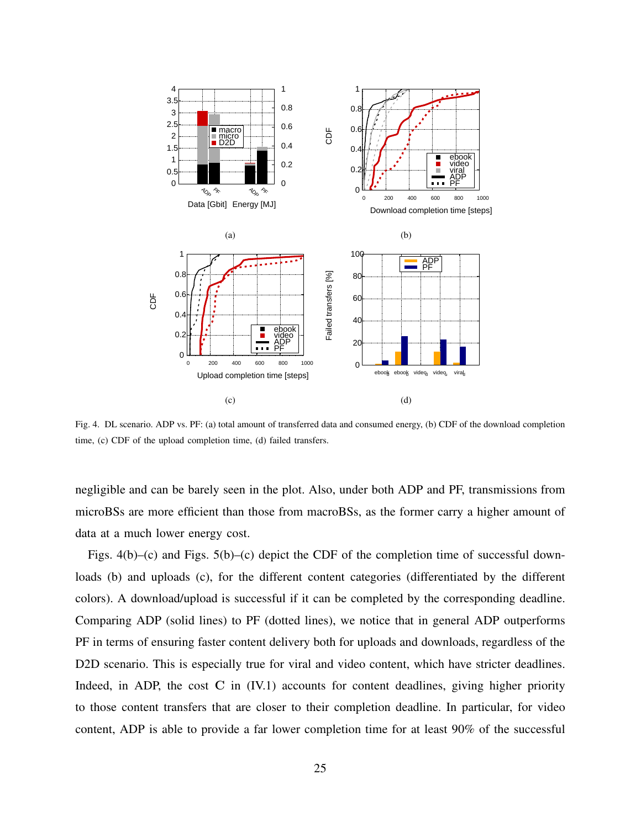

Fig. 4. DL scenario. ADP vs. PF: (a) total amount of transferred data and consumed energy, (b) CDF of the download completion time, (c) CDF of the upload completion time, (d) failed transfers.

negligible and can be barely seen in the plot. Also, under both ADP and PF, transmissions from microBSs are more efficient than those from macroBSs, as the former carry a higher amount of data at a much lower energy cost.

Figs. 4(b)–(c) and Figs. 5(b)–(c) depict the CDF of the completion time of successful downloads (b) and uploads (c), for the different content categories (differentiated by the different colors). A download/upload is successful if it can be completed by the corresponding deadline. Comparing ADP (solid lines) to PF (dotted lines), we notice that in general ADP outperforms PF in terms of ensuring faster content delivery both for uploads and downloads, regardless of the D2D scenario. This is especially true for viral and video content, which have stricter deadlines. Indeed, in ADP, the cost C in (IV.1) accounts for content deadlines, giving higher priority to those content transfers that are closer to their completion deadline. In particular, for video content, ADP is able to provide a far lower completion time for at least 90% of the successful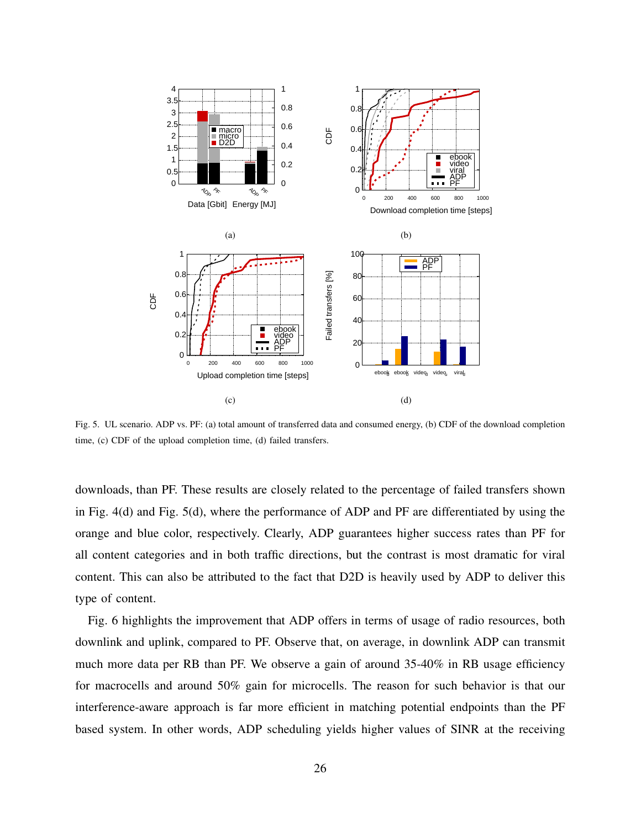

Fig. 5. UL scenario. ADP vs. PF: (a) total amount of transferred data and consumed energy, (b) CDF of the download completion time, (c) CDF of the upload completion time, (d) failed transfers.

downloads, than PF. These results are closely related to the percentage of failed transfers shown in Fig. 4(d) and Fig. 5(d), where the performance of ADP and PF are differentiated by using the orange and blue color, respectively. Clearly, ADP guarantees higher success rates than PF for all content categories and in both traffic directions, but the contrast is most dramatic for viral content. This can also be attributed to the fact that D2D is heavily used by ADP to deliver this type of content.

Fig. 6 highlights the improvement that ADP offers in terms of usage of radio resources, both downlink and uplink, compared to PF. Observe that, on average, in downlink ADP can transmit much more data per RB than PF. We observe a gain of around 35-40% in RB usage efficiency for macrocells and around 50% gain for microcells. The reason for such behavior is that our interference-aware approach is far more efficient in matching potential endpoints than the PF based system. In other words, ADP scheduling yields higher values of SINR at the receiving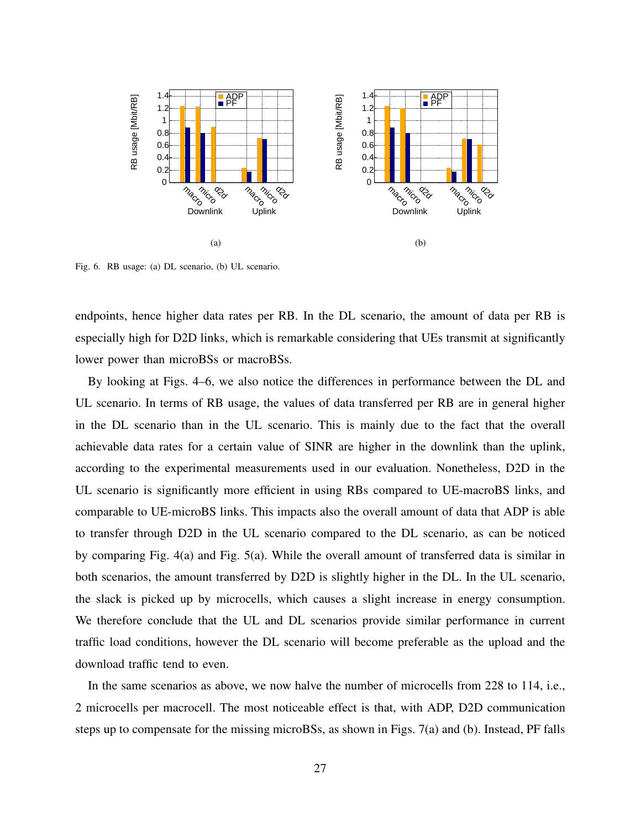

Fig. 6. RB usage: (a) DL scenario, (b) UL scenario.

endpoints, hence higher data rates per RB. In the DL scenario, the amount of data per RB is especially high for D2D links, which is remarkable considering that UEs transmit at significantly lower power than microBSs or macroBSs.

By looking at Figs. 4–6, we also notice the differences in performance between the DL and UL scenario. In terms of RB usage, the values of data transferred per RB are in general higher in the DL scenario than in the UL scenario. This is mainly due to the fact that the overall achievable data rates for a certain value of SINR are higher in the downlink than the uplink, according to the experimental measurements used in our evaluation. Nonetheless, D2D in the UL scenario is significantly more efficient in using RBs compared to UE-macroBS links, and comparable to UE-microBS links. This impacts also the overall amount of data that ADP is able to transfer through D2D in the UL scenario compared to the DL scenario, as can be noticed by comparing Fig. 4(a) and Fig. 5(a). While the overall amount of transferred data is similar in both scenarios, the amount transferred by D2D is slightly higher in the DL. In the UL scenario, the slack is picked up by microcells, which causes a slight increase in energy consumption. We therefore conclude that the UL and DL scenarios provide similar performance in current traffic load conditions, however the DL scenario will become preferable as the upload and the download traffic tend to even.

In the same scenarios as above, we now halve the number of microcells from 228 to 114, i.e., 2 microcells per macrocell. The most noticeable effect is that, with ADP, D2D communication steps up to compensate for the missing microBSs, as shown in Figs. 7(a) and (b). Instead, PF falls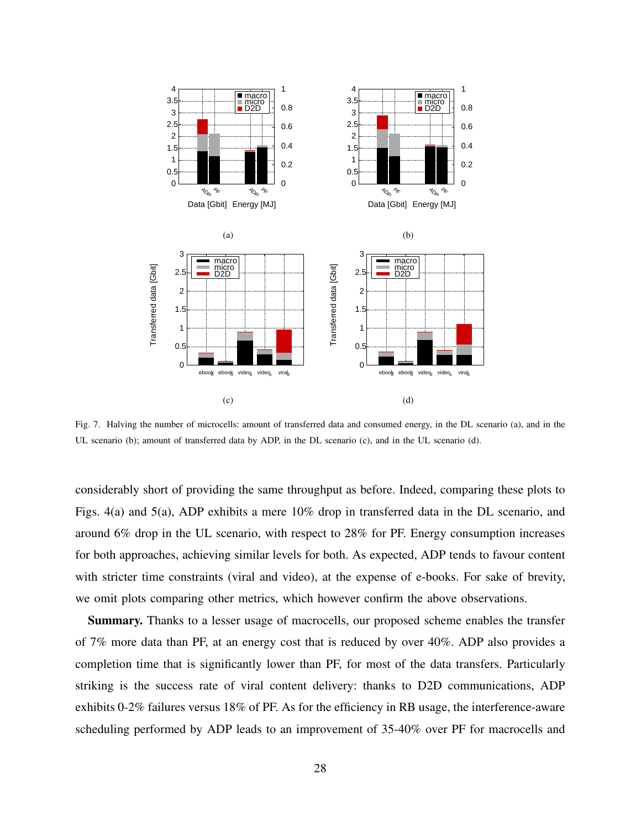

Fig. 7. Halving the number of microcells: amount of transferred data and consumed energy, in the DL scenario (a), and in the UL scenario (b); amount of transferred data by ADP, in the DL scenario (c), and in the UL scenario (d).

considerably short of providing the same throughput as before. Indeed, comparing these plots to Figs. 4(a) and 5(a), ADP exhibits a mere 10% drop in transferred data in the DL scenario, and around 6% drop in the UL scenario, with respect to 28% for PF. Energy consumption increases for both approaches, achieving similar levels for both. As expected, ADP tends to favour content with stricter time constraints (viral and video), at the expense of e-books. For sake of brevity, we omit plots comparing other metrics, which however confirm the above observations.

Summary. Thanks to a lesser usage of macrocells, our proposed scheme enables the transfer of 7% more data than PF, at an energy cost that is reduced by over 40%. ADP also provides a completion time that is significantly lower than PF, for most of the data transfers. Particularly striking is the success rate of viral content delivery: thanks to D2D communications, ADP exhibits 0-2% failures versus 18% of PF. As for the efficiency in RB usage, the interference-aware scheduling performed by ADP leads to an improvement of 35-40% over PF for macrocells and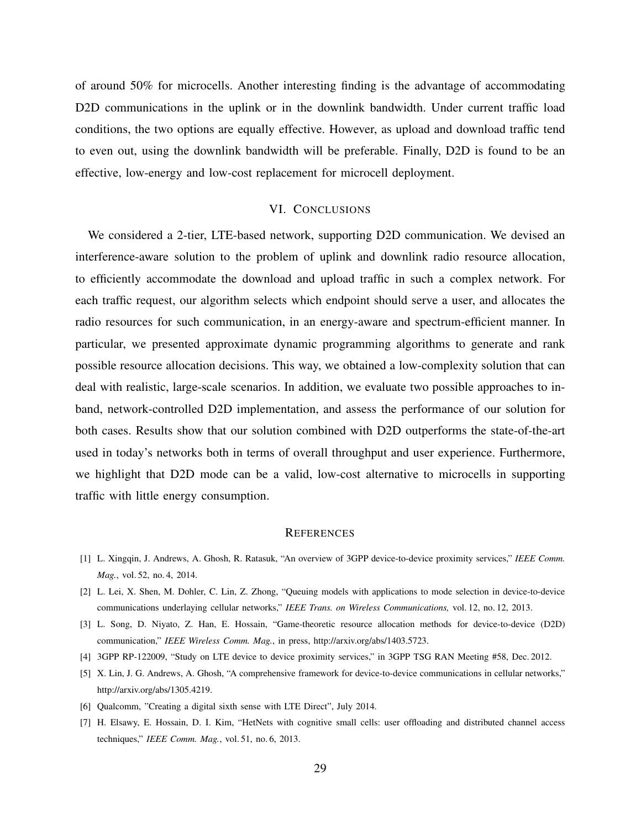of around 50% for microcells. Another interesting finding is the advantage of accommodating D<sub>2D</sub> communications in the uplink or in the downlink bandwidth. Under current traffic load conditions, the two options are equally effective. However, as upload and download traffic tend to even out, using the downlink bandwidth will be preferable. Finally, D2D is found to be an effective, low-energy and low-cost replacement for microcell deployment.

## VI. CONCLUSIONS

We considered a 2-tier, LTE-based network, supporting D2D communication. We devised an interference-aware solution to the problem of uplink and downlink radio resource allocation, to efficiently accommodate the download and upload traffic in such a complex network. For each traffic request, our algorithm selects which endpoint should serve a user, and allocates the radio resources for such communication, in an energy-aware and spectrum-efficient manner. In particular, we presented approximate dynamic programming algorithms to generate and rank possible resource allocation decisions. This way, we obtained a low-complexity solution that can deal with realistic, large-scale scenarios. In addition, we evaluate two possible approaches to inband, network-controlled D2D implementation, and assess the performance of our solution for both cases. Results show that our solution combined with D2D outperforms the state-of-the-art used in today's networks both in terms of overall throughput and user experience. Furthermore, we highlight that D2D mode can be a valid, low-cost alternative to microcells in supporting traffic with little energy consumption.

#### **REFERENCES**

- [1] L. Xingqin, J. Andrews, A. Ghosh, R. Ratasuk, "An overview of 3GPP device-to-device proximity services," *IEEE Comm. Mag.*, vol. 52, no. 4, 2014.
- [2] L. Lei, X. Shen, M. Dohler, C. Lin, Z. Zhong, "Queuing models with applications to mode selection in device-to-device communications underlaying cellular networks," *IEEE Trans. on Wireless Communications,* vol. 12, no. 12, 2013.
- [3] L. Song, D. Niyato, Z. Han, E. Hossain, "Game-theoretic resource allocation methods for device-to-device (D2D) communication," *IEEE Wireless Comm. Mag.*, in press, http://arxiv.org/abs/1403.5723.
- [4] 3GPP RP-122009, "Study on LTE device to device proximity services," in 3GPP TSG RAN Meeting #58, Dec. 2012.
- [5] X. Lin, J. G. Andrews, A. Ghosh, "A comprehensive framework for device-to-device communications in cellular networks," http://arxiv.org/abs/1305.4219.
- [6] Qualcomm, "Creating a digital sixth sense with LTE Direct", July 2014.
- [7] H. Elsawy, E. Hossain, D. I. Kim, "HetNets with cognitive small cells: user offloading and distributed channel access techniques," *IEEE Comm. Mag.*, vol. 51, no. 6, 2013.